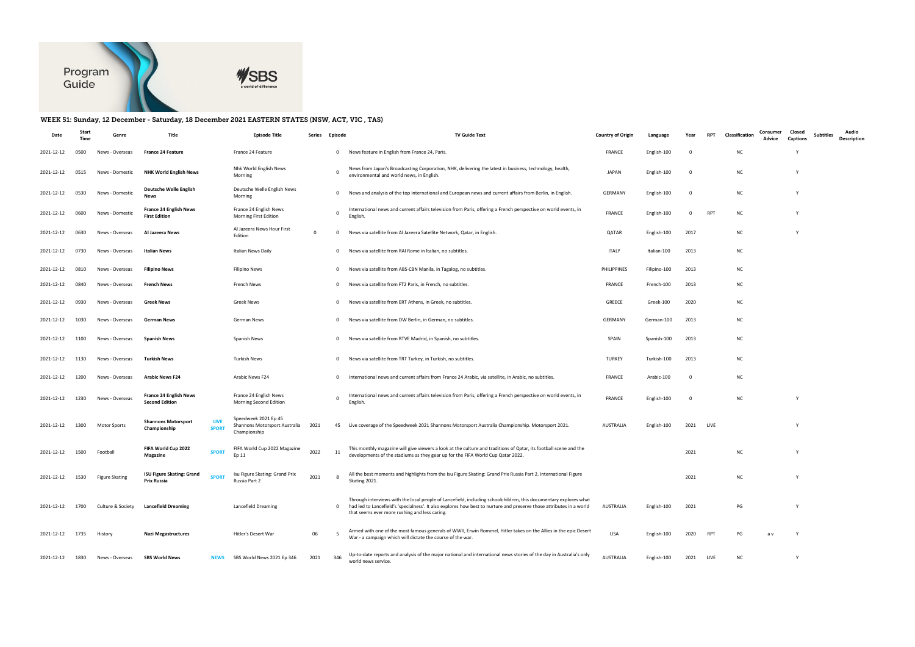

## WEEK 51: Sunday, 12 December - Saturday, 18 December 2021 EASTERN STATES (NSW, ACT, VIC , TAS)

| Date            | Start<br>Time | Genre                 | Title                                                              | <b>Episode Title</b>                                                  | Series      | Episode      | <b>TV Guide Text</b>                                                                                                                                                                                                                                                                      | <b>Country of Origin</b> | Language     | Year | <b>RPT</b>  | Consumer<br>Classification<br>Advice | Closed<br>Captions | <b>Subtitles</b> | Audio<br><b>Description</b> |
|-----------------|---------------|-----------------------|--------------------------------------------------------------------|-----------------------------------------------------------------------|-------------|--------------|-------------------------------------------------------------------------------------------------------------------------------------------------------------------------------------------------------------------------------------------------------------------------------------------|--------------------------|--------------|------|-------------|--------------------------------------|--------------------|------------------|-----------------------------|
| 2021-12-12      | 0500          | News - Overseas       | <b>France 24 Feature</b>                                           | France 24 Feature                                                     |             |              | 0 News feature in English from France 24, Paris.                                                                                                                                                                                                                                          | <b>FRANCE</b>            | English-100  | 0    |             | N0                                   |                    |                  |                             |
| 2021-12-12      | 0515          | News - Domestic       | <b>NHK World English News</b>                                      | Nhk World English News<br>Morning                                     |             | $\Omega$     | News from Japan's Broadcasting Corporation, NHK, delivering the latest in business, technology, health,<br>environmental and world news, in English.                                                                                                                                      | JAPAN                    | English-100  | - 0  |             | <b>NC</b>                            |                    |                  |                             |
| 2021-12-12      | 0530          | News - Domestic       | Deutsche Welle English<br>News                                     | Deutsche Welle English News<br>Morning                                |             | $\mathbf{0}$ | News and analysis of the top international and European news and current affairs from Berlin, in English.                                                                                                                                                                                 | GERMANY                  | English-100  | - 0  |             | <b>NC</b>                            |                    |                  |                             |
| 2021-12-12      | 0600          | News - Domestic       | <b>France 24 English News</b><br><b>First Edition</b>              | France 24 English News<br>Morning First Edition                       |             |              | International news and current affairs television from Paris, offering a French perspective on world events, in<br>English                                                                                                                                                                | <b>FRANCE</b>            | English-100  | 0    | <b>RPT</b>  | <b>NC</b>                            |                    |                  |                             |
| 2021-12-12      | 0630          | News - Overseas       | Al Jazeera News                                                    | Al Jazeera News Hour First<br>Edition                                 | $\mathbf 0$ | $\mathbf{0}$ | News via satellite from Al Jazeera Satellite Network, Qatar, in English.                                                                                                                                                                                                                  | QATAR                    | English-100  | 2017 |             | <b>NC</b>                            |                    |                  |                             |
| 2021-12-12      | 0730          | News - Overseas       | <b>Italian News</b>                                                | Italian News Daily                                                    |             | $\mathbf{0}$ | News via satellite from RAI Rome in Italian, no subtitles.                                                                                                                                                                                                                                | ITALY                    | Italian-100  | 2013 |             | <b>NC</b>                            |                    |                  |                             |
| 2021-12-12      | 0810          | News - Overseas       | <b>Filipino News</b>                                               | <b>Filipino News</b>                                                  |             | $\mathbf{0}$ | News via satellite from ABS-CBN Manila, in Tagalog, no subtitles.                                                                                                                                                                                                                         | PHILIPPINES              | Filipino-100 | 2013 |             | <b>NC</b>                            |                    |                  |                             |
| 2021-12-12      | 0840          | News - Overseas       | <b>French News</b>                                                 | French News                                                           |             | $\mathbf{0}$ | News via satellite from FT2 Paris, in French, no subtitles.                                                                                                                                                                                                                               | <b>FRANCE</b>            | French-100   | 2013 |             | <b>NC</b>                            |                    |                  |                             |
| 2021-12-12      | 0930          | News - Overseas       | <b>Greek News</b>                                                  | <b>Greek News</b>                                                     |             | $\mathbf{0}$ | News via satellite from ERT Athens, in Greek, no subtitles.                                                                                                                                                                                                                               | GREECE                   | Greek-100    | 2020 |             | <b>NC</b>                            |                    |                  |                             |
| 2021-12-12      | 1030          | News - Overseas       | <b>German News</b>                                                 | German News                                                           |             | $\mathbf{0}$ | News via satellite from DW Berlin, in German, no subtitles.                                                                                                                                                                                                                               | GERMANY                  | German-100   | 2013 |             | <b>NC</b>                            |                    |                  |                             |
| 2021-12-12      | 1100          | News - Overseas       | <b>Spanish News</b>                                                | Spanish News                                                          |             | $\mathbf{0}$ | News via satellite from RTVE Madrid, in Spanish, no subtitles.                                                                                                                                                                                                                            | SPAIN                    | Spanish-100  | 2013 |             | <b>NC</b>                            |                    |                  |                             |
| 2021-12-12      | 1130          | News - Overseas       | Turkish News                                                       | Turkish News                                                          |             | $\mathbf{0}$ | News via satellite from TRT Turkey, in Turkish, no subtitles.                                                                                                                                                                                                                             | <b>TURKEY</b>            | Turkish-100  | 2013 |             | <b>NC</b>                            |                    |                  |                             |
| 2021-12-12      | 1200          | News - Overseas       | <b>Arabic News F24</b>                                             | Arabic News F24                                                       |             |              | International news and current affairs from France 24 Arabic, via satellite, in Arabic, no subtitles.                                                                                                                                                                                     | <b>FRANCE</b>            | Arabic-100   | - 0  |             | <b>NC</b>                            |                    |                  |                             |
| 2021-12-12      | 1230          | News - Overseas       | <b>France 24 English News</b><br><b>Second Edition</b>             | France 24 English News<br>Morning Second Edition                      |             | $\Omega$     | International news and current affairs television from Paris, offering a French perspective on world events, in<br>English.                                                                                                                                                               | FRANCE                   | English-100  | - 0  |             | <b>NC</b>                            |                    |                  |                             |
| 2021-12-12      | 1300          | Motor Sports          | <b>Shannons Motorsport</b><br>LIVE<br><b>SPORT</b><br>Championship | Speedweek 2021 Ep 45<br>Shannons Motorsport Australia<br>Championship | 2021        |              | 45 Live coverage of the Speedweek 2021 Shannons Motorsport Australia Championship. Motorsport 2021.                                                                                                                                                                                       | <b>AUSTRALIA</b>         | English-100  | 2021 | <b>LIVE</b> |                                      |                    |                  |                             |
| 2021-12-12      | 1500          | Football              | FIFA World Cup 2022<br><b>SPORT</b><br>Magazine                    | FIFA World Cup 2022 Magazine<br>Ep 11                                 | 2022        | 11           | This monthly magazine will give viewers a look at the culture and traditions of Qatar, its football scene and the<br>developments of the stadiums as they gear up for the FIFA World Cup Qatar 2022.                                                                                      |                          |              | 2021 |             | <b>NC</b>                            |                    |                  |                             |
| 2021-12-12 1530 |               | <b>Figure Skating</b> | <b>ISU Figure Skating: Grand</b><br><b>SPORT</b><br>Prix Russia    | Isu Figure Skating: Grand Prix<br>Russia Part 2                       | 2021        | - 8          | All the best moments and highlights from the Isu Figure Skating: Grand Prix Russia Part 2. International Figure<br>Skating 2021.                                                                                                                                                          |                          |              | 2021 |             | <b>NC</b>                            |                    |                  |                             |
| 2021-12-12      | 1700          | Culture & Society     | <b>Lancefield Dreaming</b>                                         | Lancefield Dreaming                                                   |             | $\mathbf{O}$ | Through interviews with the local people of Lancefield, including schoolchildren, this documentary explores what<br>had led to Lancefield's 'specialness'. It also explores how best to nurture and preserve those attributes in a world<br>that seems ever more rushing and less caring. | AUSTRALIA                | English-100  | 2021 |             | PG                                   |                    |                  |                             |
| 2021-12-12      | 1735          | History               | <b>Nazi Megastructures</b>                                         | Hitler's Desert War                                                   | 06          |              | Armed with one of the most famous generals of WWII, Erwin Rommel, Hitler takes on the Allies in the epic Desert<br>War - a campaign which will dictate the course of the war.                                                                                                             | USA                      | English-100  | 2020 | RPT         | PG<br>a v                            |                    |                  |                             |
| 2021-12-12      | 1830          | News - Overseas       | <b>SBS World News</b><br><b>NEWS</b>                               | SBS World News 2021 Ep 346                                            | 2021        | 346          | Up-to-date reports and analysis of the major national and international news stories of the day in Australia's only<br>world news service.                                                                                                                                                | AUSTRALIA                | English-100  | 2021 | LIVE        | NC                                   | Y                  |                  |                             |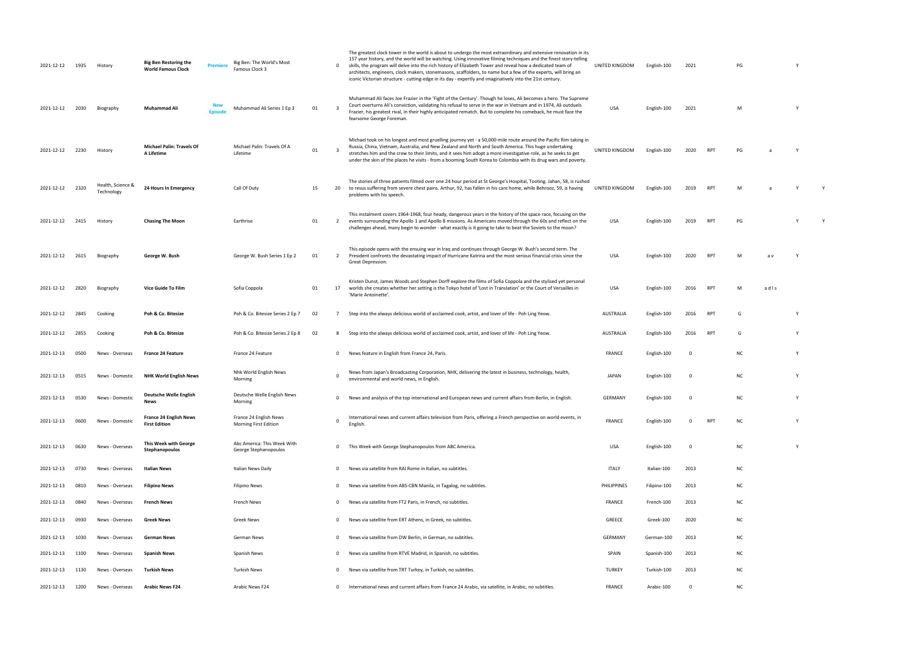| 2021-12-12 | 1935 | History                         | <b>Big Ben Restoring the</b><br><b>World Famous Clock</b> | Premier       | Big Ben: The World's Most<br>Famous Clock 3            |    | $\mathbf{0}$            | The greatest clock tower in the world is about to undergo the most extraordinary and extensive renovation in its<br>157 year history, and the world will be watching. Using innovative filming techniques and the finest story-telling<br>skills, the program will delve into the rich history of Elizabeth Tower and reveal how a dedicated team of<br>architects, engineers, clock makers, stonemasons, scaffolders, to name but a few of the experts, will bring an<br>iconic Victorian structure - cutting-edge in its day - expertly and imaginatively into the 21st century. | UNITED KINGDOM | English-100  | 2021     |            | PG        |      |          |  |
|------------|------|---------------------------------|-----------------------------------------------------------|---------------|--------------------------------------------------------|----|-------------------------|------------------------------------------------------------------------------------------------------------------------------------------------------------------------------------------------------------------------------------------------------------------------------------------------------------------------------------------------------------------------------------------------------------------------------------------------------------------------------------------------------------------------------------------------------------------------------------|----------------|--------------|----------|------------|-----------|------|----------|--|
| 2021-12-12 | 2030 | Biography                       | Muhammad Ali                                              | <b>Fnisod</b> | Muhammad Ali Series 1 Ep 3                             | 01 | $\overline{3}$          | Muhammad Ali faces Joe Frazier in the 'Fight of the Century'. Though he loses, Ali becomes a hero. The Supreme<br>Court overturns Ali's conviction, validating his refusal to serve in the war in Vietnam and in 1974, Ali outduels<br>Frazier, his greatest rival, in their highly anticipated rematch. But to complete his comeback, he must face the<br>fearsome George Foreman.                                                                                                                                                                                                | USA            | English-100  | 2021     |            | M         |      | <b>Y</b> |  |
| 2021-12-12 | 2230 | History                         | <b>Michael Palin: Travels Of</b><br>A Lifetime            |               | Michael Palin: Travels Of A<br>Lifetime                | 01 | $\overline{\mathbf{3}}$ | Michael took on his longest and most gruelling journey yet - a 50,000-mile route around the Pacific Rim taking in<br>Russia, China, Vietnam, Australia, and New Zealand and North and South America. This huge undertaking<br>stretches him and the crew to their limits, and it sees him adopt a more investigative role, as he seeks to get<br>under the skin of the places he visits - from a booming South Korea to Colombia with its drug wars and poverty.                                                                                                                   | UNITED KINGDOM | English-100  | 2020     | <b>RPT</b> | PG        |      |          |  |
| 2021-12-12 | 2320 | Health, Science &<br>Technology | 24 Hours In Emergency                                     |               | Call Of Duty                                           | 15 |                         | The stories of three patients filmed over one 24 hour period at St George's Hospital, Tooting. Jahan, 58, is rushed<br>20 to resus suffering from severe chest pains. Arthur, 92, has fallen in his care home, while Behrooz, 59, is having<br>problems with his speech.                                                                                                                                                                                                                                                                                                           | UNITED KINGDOM | English-100  | 2019     | <b>RPT</b> | M         |      |          |  |
| 2021-12-12 | 2415 | History                         | <b>Chasing The Moon</b>                                   |               | Earthrise                                              | 01 | 2                       | This instalment covers 1964-1968, four heady, dangerous years in the history of the space race, focusing on the<br>events surrounding the Apollo 1 and Apollo 8 missions. As Americans moved through the 60s and reflect on the<br>challenges ahead, many begin to wonder - what exactly is it going to take to beat the Soviets to the moon?                                                                                                                                                                                                                                      | USA            | English-100  | 2019     | <b>RPT</b> | PG        |      |          |  |
| 2021-12-12 | 2615 | Biography                       | George W. Bush                                            |               | George W. Bush Series 1 Ep 2                           | 01 | $\overline{2}$          | This episode opens with the ensuing war in Iraq and continues through George W. Bush's second term. The<br>President confronts the devastating impact of Hurricane Katrina and the most serious financial crisis since the<br>Great Depression.                                                                                                                                                                                                                                                                                                                                    | USA            | English-100  | 2020     | <b>RPT</b> | M         | a v  | Y        |  |
| 2021-12-12 | 2820 | Biography                       | <b>Vice Guide To Film</b>                                 |               | Sofia Coppola                                          | 01 |                         | Kristen Dunst, James Woods and Stephen Dorff explore the films of Sofia Coppola and the stylised yet personal<br>17 worlds she creates whether her setting is the Tokyo hotel of 'Lost in Translation' or the Court of Versailles in<br>'Marie Antoinette'.                                                                                                                                                                                                                                                                                                                        | USA            | English-100  | 2016     | <b>RPT</b> | M         | adls |          |  |
| 2021-12-12 | 2845 | Cooking                         | Poh & Co. Bitesize                                        |               | Poh & Co. Bitesize Series 2 Ep 7                       | 02 | 7                       | Step into the always delicious world of acclaimed cook, artist, and lover of life - Poh Ling Yeow.                                                                                                                                                                                                                                                                                                                                                                                                                                                                                 | AUSTRALIA      | English-100  | 2016     | RPT        | G         |      |          |  |
| 2021-12-12 | 2855 | Cooking                         | Poh & Co. Bitesize                                        |               | Poh & Co. Bitesize Series 2 Ep 8                       | 02 | 8                       | Step into the always delicious world of acclaimed cook, artist, and lover of life - Poh Ling Yeow.                                                                                                                                                                                                                                                                                                                                                                                                                                                                                 | AUSTRALIA      | English-100  | 2016     | RPT        | G         |      | Y        |  |
| 2021-12-13 | 0500 | News - Overseas                 | <b>France 24 Feature</b>                                  |               | France 24 Feature                                      |    | $\mathbf 0$             | News feature in English from France 24, Paris.                                                                                                                                                                                                                                                                                                                                                                                                                                                                                                                                     | <b>FRANCE</b>  | English-100  | $\Omega$ |            | <b>NC</b> |      |          |  |
| 2021-12-13 | 0515 | News - Domestic                 | <b>NHK World English News</b>                             |               | Nhk World English News<br>Morning                      |    | $\Omega$                | News from Japan's Broadcasting Corporation, NHK, delivering the latest in business, technology, health,<br>environmental and world news, in English.                                                                                                                                                                                                                                                                                                                                                                                                                               | JAPAN          | English-100  |          |            | <b>NC</b> |      |          |  |
| 2021-12-13 | 0530 | News - Domestic                 | <b>Deutsche Welle English</b><br>News                     |               | Deutsche Welle English News<br>Morning                 |    | $\mathbf{0}$            | News and analysis of the top international and European news and current affairs from Berlin, in English.                                                                                                                                                                                                                                                                                                                                                                                                                                                                          | GERMANY        | English-100  | - 0      |            | NC        |      | Y        |  |
| 2021-12-13 | 0600 | News - Domestic                 | <b>France 24 English News</b><br><b>First Edition</b>     |               | France 24 English News<br><b>Morning First Edition</b> |    | $\Omega$                | International news and current affairs television from Paris, offering a French perspective on world events, in<br>English.                                                                                                                                                                                                                                                                                                                                                                                                                                                        | <b>FRANCE</b>  | English-100  | $\Omega$ | <b>RPT</b> | <b>NC</b> |      | Y        |  |
| 2021-12-13 | 0630 | News - Overseas                 | This Week with George<br>Stephanopoulos                   |               | Abc America: This Week With<br>George Stephanopoulos   |    | $\mathbf{0}$            | This Week with George Stephanopoulos from ABC America.                                                                                                                                                                                                                                                                                                                                                                                                                                                                                                                             | USA            | English-100  | - 0      |            | <b>NC</b> |      | Y        |  |
| 2021-12-13 | 0730 | News - Overseas                 | <b>Italian News</b>                                       |               | Italian News Daily                                     |    | $^{\circ}$              | News via satellite from RAI Rome in Italian, no subtitles.                                                                                                                                                                                                                                                                                                                                                                                                                                                                                                                         | <b>ITALY</b>   | Italian-100  | 2013     |            | NC        |      |          |  |
| 2021-12-13 | 0810 | News - Overseas                 | <b>Filipino News</b>                                      |               | Filipino News                                          |    | $\mathbf{0}$            | News via satellite from ABS-CBN Manila, in Tagalog, no subtitles.                                                                                                                                                                                                                                                                                                                                                                                                                                                                                                                  | PHILIPPINES    | Filipino-100 | 2013     |            | <b>NC</b> |      |          |  |
| 2021-12-13 | 0840 | News - Overseas                 | French News                                               |               | French News                                            |    | $\mathbf{0}$            | News via satellite from FT2 Paris, in French, no subtitles.                                                                                                                                                                                                                                                                                                                                                                                                                                                                                                                        | <b>FRANCE</b>  | French-100   | 2013     |            | <b>NC</b> |      |          |  |
| 2021-12-13 | 0930 | News - Overseas                 | Greek News                                                |               | Greek News                                             |    | $\mathbf{0}$            | News via satellite from ERT Athens, in Greek, no subtitles.                                                                                                                                                                                                                                                                                                                                                                                                                                                                                                                        | GREECE         | Greek-100    | 2020     |            | <b>NC</b> |      |          |  |
| 2021-12-13 | 1030 | News - Overseas                 | German News                                               |               | German News                                            |    | $\mathbf{0}$            | News via satellite from DW Berlin, in German, no subtitles.                                                                                                                                                                                                                                                                                                                                                                                                                                                                                                                        | GERMANY        | German-100   | 2013     |            | <b>NC</b> |      |          |  |
| 2021-12-13 | 1100 | News - Overseas                 | <b>Spanish News</b>                                       |               | Spanish News                                           |    | $\mathbf{0}$            | News via satellite from RTVE Madrid, in Spanish, no subtitles.                                                                                                                                                                                                                                                                                                                                                                                                                                                                                                                     | SPAIN          | Spanish-100  | 2013     |            | <b>NC</b> |      |          |  |
| 2021-12-13 | 1130 | News - Overseas                 | <b>Turkish News</b>                                       |               | Turkish News                                           |    | $\mathbf{0}$            | News via satellite from TRT Turkey, in Turkish, no subtitles.                                                                                                                                                                                                                                                                                                                                                                                                                                                                                                                      | <b>TURKEY</b>  | Turkish-100  | 2013     |            | <b>NC</b> |      |          |  |
| 2021-12-13 | 1200 | News - Overseas                 | <b>Arabic News F24</b>                                    |               | Arabic News F24                                        |    | $\mathbf{0}$            | International news and current affairs from France 24 Arabic, via satellite, in Arabic, no subtitles.                                                                                                                                                                                                                                                                                                                                                                                                                                                                              | FRANCE         | Arabic-100   | $\Omega$ |            | <b>NC</b> |      |          |  |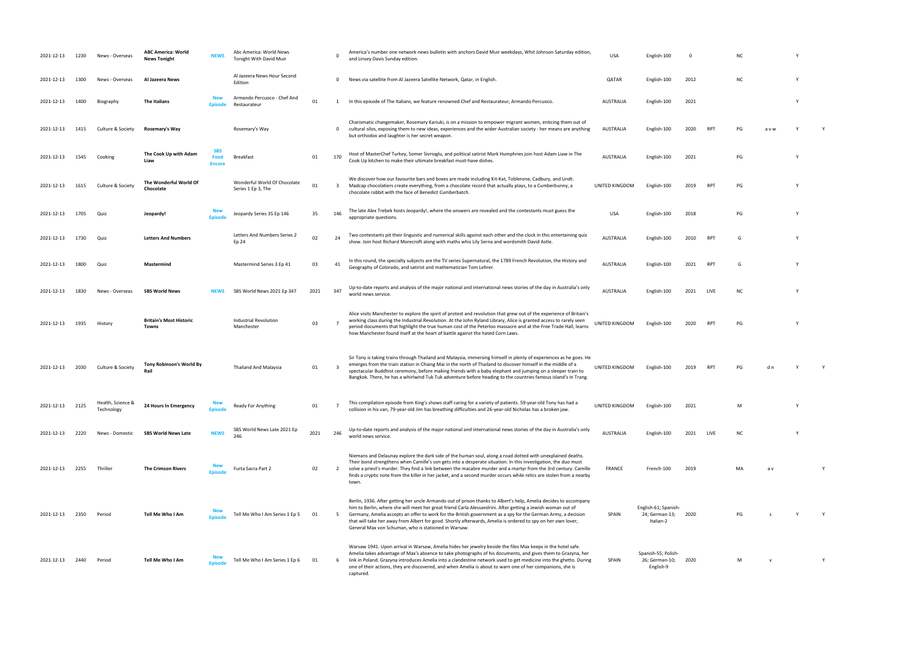| 2021-12-13      | 1230 | News - Overseas                 | <b>ABC America: World</b><br><b>News Tonight</b> | <b>NEWS</b>                         | Abc America: World News<br><b>Tonight With David Muir</b> |      | $\Omega$                | America's number one network news bulletin with anchors David Muir weekdays, Whit Johnson Saturday edition,<br>and Linsey Davis Sunday edition                                                                                                                                                                                                                                                                                                                                                                          | <b>USA</b>       | English-100                                         | - 0  |                 | ΝC        |     |          |  |
|-----------------|------|---------------------------------|--------------------------------------------------|-------------------------------------|-----------------------------------------------------------|------|-------------------------|-------------------------------------------------------------------------------------------------------------------------------------------------------------------------------------------------------------------------------------------------------------------------------------------------------------------------------------------------------------------------------------------------------------------------------------------------------------------------------------------------------------------------|------------------|-----------------------------------------------------|------|-----------------|-----------|-----|----------|--|
| 2021-12-13      | 1300 | News - Overseas                 | Al Jazeera News                                  |                                     | Al Jazeera News Hour Second<br>Edition                    |      | $^{\circ}$              | News via satellite from Al Jazeera Satellite Network, Qatar, in English.                                                                                                                                                                                                                                                                                                                                                                                                                                                | QATAR            | English-100                                         | 2012 |                 | <b>NC</b> |     |          |  |
| 2021-12-13      | 1400 | Biography                       | The Italians                                     |                                     | Armando Percuoco - Chef And<br>Restaurateur               | 01   |                         | In this episode of The Italians, we feature renowned Chef and Restaurateur, Armando Percuoco.                                                                                                                                                                                                                                                                                                                                                                                                                           | <b>AUSTRALIA</b> | English-100                                         | 2021 |                 |           |     |          |  |
| 2021-12-13      | 1415 | Culture & Society               | Rosemary's Way                                   |                                     | Rosemary's Way                                            |      | $\mathbf 0$             | Charismatic changemaker, Rosemary Kariuki, is on a mission to empower migrant women, enticing them out of<br>cultural silos, exposing them to new ideas, experiences and the wider Australian society - her means are anything<br>but orthodox and laughter is her secret weapon.                                                                                                                                                                                                                                       | AUSTRALIA        | English-100                                         | 2020 | RP <sup>-</sup> |           | avw |          |  |
| 2021-12-13      | 1545 | Cooking                         | The Cook Up with Adam<br>Liaw                    | <b>SBS</b><br>Food<br><b>Encore</b> | Breakfast                                                 | 01   | 170                     | Host of MasterChef Turkey, Somer Sivrioglu, and political satirist Mark Humphries join host Adam Liaw in The<br>Cook Up kitchen to make their ultimate breakfast must-have dishes.                                                                                                                                                                                                                                                                                                                                      | <b>AUSTRALIA</b> | English-100                                         | 2021 |                 | PG        |     |          |  |
| 2021-12-13      | 1615 | Culture & Society               | The Wonderful World Of<br>Chocolate              |                                     | Wonderful World Of Chocolate<br>Series 1 Ep 3, The        | 01   | $\overline{\mathbf{3}}$ | We discover how our favourite bars and boxes are made including Kit-Kat, Toblerone, Cadbury, and Lindt.<br>Madcap chocolatiers create everything, from a chocolate record that actually plays, to a Cumberbunny, a<br>chocolate rabbit with the face of Benedict Cumberbatch.                                                                                                                                                                                                                                           | UNITED KINGDOM   | English-100                                         | 2019 | RPT             | PG        |     |          |  |
| 2021-12-13      | 1705 | Quiz                            | Jeopardy!                                        | <b>Episod</b>                       | Jeopardy Series 35 Ep 146                                 | 35   | 146                     | The late Alex Trebek hosts Jeopardy!, where the answers are revealed and the contestants must guess the<br>appropriate questions.                                                                                                                                                                                                                                                                                                                                                                                       | <b>USA</b>       | English-100                                         | 2018 |                 | PG        |     | <b>V</b> |  |
| 2021-12-13      | 1730 | Quiz                            | <b>Letters And Numbers</b>                       |                                     | Letters And Numbers Series 2<br>Ep 24                     | 02   | 24                      | Two contestants pit their linguistic and numerical skills against each other and the clock in this entertaining quiz<br>show. Join host Richard Morecroft along with maths whiz Lily Serna and wordsmith David Astle.                                                                                                                                                                                                                                                                                                   | <b>AUSTRALIA</b> | English-100                                         | 2010 | RPT             | G         |     |          |  |
| 2021-12-13      | 1800 | Quiz                            | Mastermind                                       |                                     | Mastermind Series 3 Ep 41                                 | 03   | 41                      | In this round, the specialty subjects are the TV series Supernatural, the 1789 French Revolution, the History and<br>Geography of Colorado, and satirist and mathematician Tom Lehrer.                                                                                                                                                                                                                                                                                                                                  | <b>AUSTRALIA</b> | English-100                                         | 2021 | <b>RPT</b>      | G         |     |          |  |
| 2021-12-13      | 1830 | News - Overseas                 | <b>SBS World News</b>                            | <b>NEWS</b>                         | SBS World News 2021 Ep 347                                | 2021 | 347                     | Up-to-date reports and analysis of the major national and international news stories of the day in Australia's only<br>world news service.                                                                                                                                                                                                                                                                                                                                                                              | <b>AUSTRALIA</b> | English-100                                         | 2021 | LIVE            | <b>NC</b> |     |          |  |
| 2021-12-13      | 1935 | History                         | <b>Britain's Most Historic</b><br><b>Towns</b>   |                                     | Industrial Revolution<br>Manchester                       | 03   |                         | Alice visits Manchester to explore the spirit of protest and revolution that grew out of the experience of Britain's<br>working class during the Industrial Revolution. At the John Ryland Library, Alice is granted access to rarely seen<br>period documents that highlight the true human cost of the Peterloo massacre and at the Free Trade Hall, learns<br>how Manchester found itself at the heart of battle against the hated Corn Laws.                                                                        | UNITED KINGDOM   | English-100                                         | 2020 | <b>RPT</b>      | PG        |     |          |  |
| 2021-12-13      | 2030 | Culture & Society               | Tony Robinson's World By                         |                                     | <b>Thailand And Malaysia</b>                              | 01   | $\overline{\mathbf{3}}$ | Sir Tony is taking trains through Thailand and Malaysia, immersing himself in plenty of experiences as he goes. He<br>emerges from the train station in Chiang Mai in the north of Thailand to discover himself in the middle of a<br>spectacular Buddhist ceremony, before making friends with a baby elephant and jumping on a sleeper train to<br>Bangkok. There, he has a whirlwind Tuk Tuk adventure before heading to the countries famous island's in Trang.                                                     | UNITED KINGDOM   | English-100                                         | 2019 | <b>RPT</b>      | PG        |     |          |  |
| 2021-12-13 2125 |      | Health. Science &<br>Technology | 24 Hours In Emergency                            |                                     | Ready For Anything                                        | 01   |                         | This compilation episode from King's shows staff caring for a variety of patients. 59-year-old Tony has had a<br>collision in his van, 79-year-old Jim has breathing difficulties and 26-year-old Nicholas has a broken jaw.                                                                                                                                                                                                                                                                                            | UNITED KINGDOM   | English-100                                         | 2021 |                 | M         |     | <b>V</b> |  |
| 2021-12-13      | 2220 | News - Domestic                 | <b>SBS World News Late</b>                       | <b>NEWS</b>                         | SBS World News Late 2021 Ep<br>246                        | 2021 | 246                     | Up-to-date reports and analysis of the major national and international news stories of the day in Australia's only<br>world news service.                                                                                                                                                                                                                                                                                                                                                                              | <b>AUSTRALIA</b> | English-100                                         | 2021 | LIVE            | <b>NC</b> |     |          |  |
| 2021-12-13      | 2255 | Thriller                        | <b>The Crimson Rivers</b>                        | Episod                              | Furta Sacra Part 2                                        | 02   | 2                       | Niemans and Delaunay explore the dark side of the human soul, along a road dotted with unexplained deaths.<br>Their bond strengthens when Camille's son gets into a desperate situation. In this investigation, the duo must<br>solve a priest's murder. They find a link between the macabre murder and a martyr from the 3rd century. Camille<br>finds a cryptic note from the killer in her jacket, and a second murder occurs while relics are stolen from a nearby<br>town.                                        | <b>FRANCE</b>    | French-100                                          | 2019 |                 | MA        | a v |          |  |
| 2021-12-13      | 2350 | Period                          | Tell Me Who I Am                                 |                                     | Tell Me Who I Am Series 1 Ep 5                            | 01   | 5                       | Berlin, 1936. After getting her uncle Armando out of prison thanks to Albert's help, Amelia decides to accompany<br>him to Berlin, where she will meet her great friend Carla Alessandrini. After getting a Jewish woman out of<br>Germany, Amelia accepts an offer to work for the British government as a spy for the German Army, a decision<br>that will take her away from Albert for good. Shortly afterwards, Amelia is ordered to spy on her own lover,<br>General Max von Schuman, who is stationed in Warsaw. | SPAIN            | English-61; Spanish-<br>24; German-13;<br>Italian-2 | 2020 |                 | PG        |     |          |  |
| 2021-12-13      | 2440 | Period                          | Tell Me Who I Am                                 |                                     | Tell Me Who I Am Series 1 Ep 6                            | 01   | 6                       | Warsaw 1941. Upon arrival in Warsaw, Amelia hides her jewelry beside the files Max keeps in the hotel safe.<br>Amelia takes advantage of Max's absence to take photographs of his documents, and gives them to Grazyna, her<br>link in Poland. Grazyna introduces Amelia into a clandestine network used to get medicine into the ghetto. During<br>one of their actions, they are discovered, and when Amelia is about to warn one of her companions, she is<br>captured.                                              | SPAIN            | Spanish-55; Polish-<br>26; German-10;<br>English-9  | 2020 |                 | M         |     |          |  |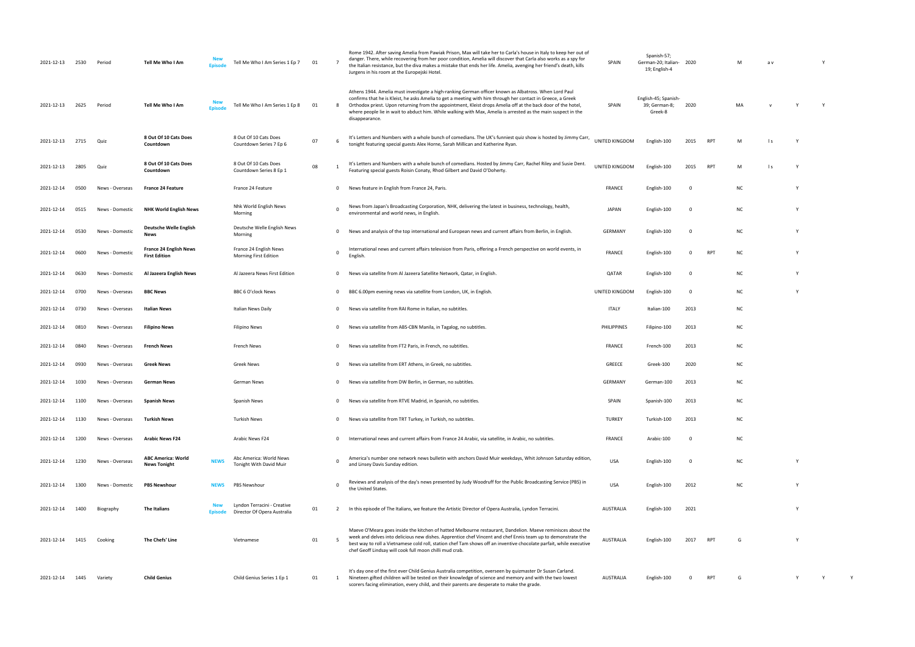| 2021-12-13 | 2530 | Period          | Tell Me Who I Am                                      | Episode     | Tell Me Who I Am Series 1 Ep 7                             | 01 | $\overline{7}$ | Rome 1942. After saving Amelia from Pawiak Prison, Max will take her to Carla's house in Italy to keep her out of<br>danger. There, while recovering from her poor condition, Amelia will discover that Carla also works as a spy for<br>the Italian resistance, but the diva makes a mistake that ends her life. Amelia, avenging her friend's death, kills<br>Jurgens in his room at the Europejski Hotel.                                                            | SPAIN            | Spanish-57;<br>German-20; Italian- 2020<br>19; English-4 |                         |            | M         | a v |   | Y |
|------------|------|-----------------|-------------------------------------------------------|-------------|------------------------------------------------------------|----|----------------|-------------------------------------------------------------------------------------------------------------------------------------------------------------------------------------------------------------------------------------------------------------------------------------------------------------------------------------------------------------------------------------------------------------------------------------------------------------------------|------------------|----------------------------------------------------------|-------------------------|------------|-----------|-----|---|---|
| 2021-12-13 | 2625 | Period          | Tell Me Who I Am                                      |             | Tell Me Who I Am Series 1 Ep 8                             | 01 | - 8            | Athens 1944. Amelia must investigate a high-ranking German officer known as Albatross. When Lord Paul<br>confirms that he is Kleist, he asks Amelia to get a meeting with him through her contact in Greece, a Greek<br>Orthodox priest. Upon returning from the appointment, Kleist drops Amelia off at the back door of the hotel,<br>where people lie in wait to abduct him. While walking with Max, Amelia is arrested as the main suspect in the<br>disappearance. | SPAIN            | English-45; Spanish-<br>39; German-8;<br>Greek-8         | 2020                    |            | MA        |     |   | Y |
| 2021-12-13 | 2715 | Quiz            | 8 Out Of 10 Cats Does<br>Countdown                    |             | 8 Out Of 10 Cats Does<br>Countdown Series 7 Ep 6           | 07 | -6             | It's Letters and Numbers with a whole bunch of comedians. The UK's funniest quiz show is hosted by Jimmy Carr,<br>tonight featuring special guests Alex Horne, Sarah Millican and Katherine Ryan.                                                                                                                                                                                                                                                                       | UNITED KINGDOM   | English-100                                              | 2015                    | RPT        | M         | l s | Y |   |
| 2021-12-13 | 2805 | Quiz            | 8 Out Of 10 Cats Does<br>Countdown                    |             | 8 Out Of 10 Cats Does<br>Countdown Series 8 Ep 1           | 08 |                | It's Letters and Numbers with a whole bunch of comedians. Hosted by Jimmy Carr, Rachel Riley and Susie Dent.<br>Featuring special guests Roisin Conaty, Rhod Gilbert and David O'Doherty.                                                                                                                                                                                                                                                                               | UNITED KINGDOM   | English-100                                              | 2015                    | RPT        | M         | l s |   |   |
| 2021-12-14 | 0500 | News - Overseas | <b>France 24 Feature</b>                              |             | France 24 Feature                                          |    | $^{\circ}$     | News feature in English from France 24, Paris.                                                                                                                                                                                                                                                                                                                                                                                                                          | <b>FRANCE</b>    | English-100                                              | - 0                     |            | <b>NC</b> |     |   |   |
| 2021-12-14 | 0515 | News - Domestic | <b>NHK World English News</b>                         |             | Nhk World English News<br>Morning                          |    | $\overline{0}$ | News from Japan's Broadcasting Corporation, NHK, delivering the latest in business, technology, health,<br>environmental and world news, in English.                                                                                                                                                                                                                                                                                                                    | <b>JAPAN</b>     | English-100                                              | - 0                     |            | <b>NC</b> |     | Y |   |
| 2021-12-14 | 0530 | News - Domestic | Deutsche Welle English<br><b>News</b>                 |             | Deutsche Welle English News<br>Morning                     |    | $\mathbf 0$    | News and analysis of the top international and European news and current affairs from Berlin, in English.                                                                                                                                                                                                                                                                                                                                                               | GERMANY          | English-100                                              | $\overline{\mathbf{0}}$ |            | <b>NC</b> |     | Y |   |
| 2021-12-14 | 0600 | News - Domestic | <b>France 24 English News</b><br><b>First Edition</b> |             | France 24 English News<br>Morning First Edition            |    | $\Omega$       | International news and current affairs television from Paris, offering a French perspective on world events, in<br>English.                                                                                                                                                                                                                                                                                                                                             | <b>FRANCE</b>    | English-100                                              | $\mathbf 0$             | RPT        | <b>NC</b> |     | Y |   |
| 2021-12-14 | 0630 | News - Domestic | Al Jazeera English News                               |             | Al Jazeera News First Edition                              |    | $\mathbf{0}$   | News via satellite from Al Jazeera Satellite Network, Qatar, in English.                                                                                                                                                                                                                                                                                                                                                                                                | QATAR            | English-100                                              | 0                       |            | <b>NC</b> |     |   |   |
| 2021-12-14 | 0700 | News - Overseas | <b>BBC News</b>                                       |             | BBC 6 O'clock News                                         |    | $\mathbf 0$    | BBC 6.00pm evening news via satellite from London, UK, in English.                                                                                                                                                                                                                                                                                                                                                                                                      | UNITED KINGDOM   | English-100                                              | 0                       |            | <b>NC</b> |     | Y |   |
| 2021-12-14 | 0730 | News - Overseas | <b>Italian News</b>                                   |             | Italian News Daily                                         |    | $\mathbf 0$    | News via satellite from RAI Rome in Italian, no subtitles.                                                                                                                                                                                                                                                                                                                                                                                                              | <b>ITALY</b>     | Italian-100                                              | 2013                    |            | NC        |     |   |   |
| 2021-12-14 | 0810 | News - Overseas | <b>Filipino News</b>                                  |             | <b>Filipino News</b>                                       |    | $^{\circ}$     | News via satellite from ABS-CBN Manila, in Tagalog, no subtitles.                                                                                                                                                                                                                                                                                                                                                                                                       | PHILIPPINES      | Filipino-100                                             | 2013                    |            | <b>NC</b> |     |   |   |
| 2021-12-14 | 0840 | News - Overseas | <b>French News</b>                                    |             | French News                                                |    | $\Omega$       | News via satellite from FT2 Paris, in French, no subtitles.                                                                                                                                                                                                                                                                                                                                                                                                             | <b>FRANCE</b>    | French-100                                               | 2013                    |            | <b>NC</b> |     |   |   |
| 2021-12-14 | 0930 | News - Overseas | <b>Greek News</b>                                     |             | Greek News                                                 |    | $\mathbf 0$    | News via satellite from ERT Athens, in Greek, no subtitles.                                                                                                                                                                                                                                                                                                                                                                                                             | GREECE           | Greek-100                                                | 2020                    |            | <b>NC</b> |     |   |   |
| 2021-12-14 | 1030 | News - Overseas | <b>German News</b>                                    |             | German News                                                |    | $\mathbf{0}$   | News via satellite from DW Berlin, in German, no subtitles.                                                                                                                                                                                                                                                                                                                                                                                                             | <b>GERMANY</b>   | German-100                                               | 2013                    |            | <b>NC</b> |     |   |   |
| 2021-12-14 | 1100 | News - Overseas | <b>Spanish News</b>                                   |             | Spanish News                                               |    | $\Omega$       | News via satellite from RTVE Madrid, in Spanish, no subtitles.                                                                                                                                                                                                                                                                                                                                                                                                          | <b>SPAIN</b>     | Spanish-100                                              | 2013                    |            | NC.       |     |   |   |
| 2021-12-14 | 1130 | News - Overseas | <b>Turkish News</b>                                   |             | <b>Turkish News</b>                                        |    | $\overline{0}$ | News via satellite from TRT Turkey, in Turkish, no subtitles.                                                                                                                                                                                                                                                                                                                                                                                                           | <b>TURKEY</b>    | Turkish-100                                              | 2013                    |            | <b>NC</b> |     |   |   |
| 2021-12-14 | 1200 | News - Overseas | <b>Arabic News F24</b>                                |             | Arabic News F24                                            |    | $\mathbf 0$    | International news and current affairs from France 24 Arabic, via satellite, in Arabic, no subtitles.                                                                                                                                                                                                                                                                                                                                                                   | <b>FRANCE</b>    | Arabic-100                                               | 0                       |            | <b>NC</b> |     |   |   |
| 2021-12-14 | 1230 | News - Overseas | <b>ABC America: World</b><br><b>News Tonight</b>      | <b>NEWS</b> | Abc America: World News<br>Tonight With David Muir         |    | $\Omega$       | America's number one network news bulletin with anchors David Muir weekdays, Whit Johnson Saturday edition,<br>and Linsey Davis Sunday edition.                                                                                                                                                                                                                                                                                                                         | <b>USA</b>       | English-100                                              | $\overline{\mathbf{0}}$ |            | <b>NC</b> |     | Y |   |
| 2021-12-14 | 1300 | News - Domestic | <b>PBS Newshour</b>                                   | <b>NEWS</b> | PBS Newshour                                               |    | $\Omega$       | Reviews and analysis of the day's news presented by Judy Woodruff for the Public Broadcasting Service (PBS) in<br>the United States.                                                                                                                                                                                                                                                                                                                                    | <b>USA</b>       | English-100                                              | 2012                    |            | <b>NC</b> |     |   |   |
| 2021-12-14 | 1400 | Biography       | The Italians                                          |             | Lyndon Terracini - Creative<br>Director Of Opera Australia | 01 |                | In this episode of The Italians, we feature the Artistic Director of Opera Australia, Lyndon Terracini.                                                                                                                                                                                                                                                                                                                                                                 | <b>AUSTRALIA</b> | English-100                                              | 2021                    |            |           |     | Y |   |
| 2021-12-14 | 1415 | Cooking         | The Chefs' Line                                       |             | Vietnamese                                                 | 01 | - 5            | Maeve O'Meara goes inside the kitchen of hatted Melbourne restaurant, Dandelion. Maeve reminisces about the<br>week and delves into delicious new dishes. Apprentice chef Vincent and chef Ennis team up to demonstrate the<br>best way to roll a Vietnamese cold roll, station chef Tam shows off an inventive chocolate parfait, while executive<br>chef Geoff Lindsay will cook full moon chilli mud crab.                                                           | <b>AUSTRALIA</b> | English-100                                              | 2017                    | <b>RPT</b> |           |     |   |   |
| 2021-12-14 | 1445 | Variety         | <b>Child Genius</b>                                   |             | Child Genius Series 1 Ep 1                                 | 01 | 1              | It's day one of the first ever Child Genius Australia competition, overseen by quizmaster Dr Susan Carland.<br>Nineteen gifted children will be tested on their knowledge of science and memory and with the two lowest<br>scorers facing elimination, every child, and their parents are desperate to make the grade.                                                                                                                                                  | AUSTRALIA        | English-100                                              | 0                       | <b>RPT</b> | G         |     |   |   |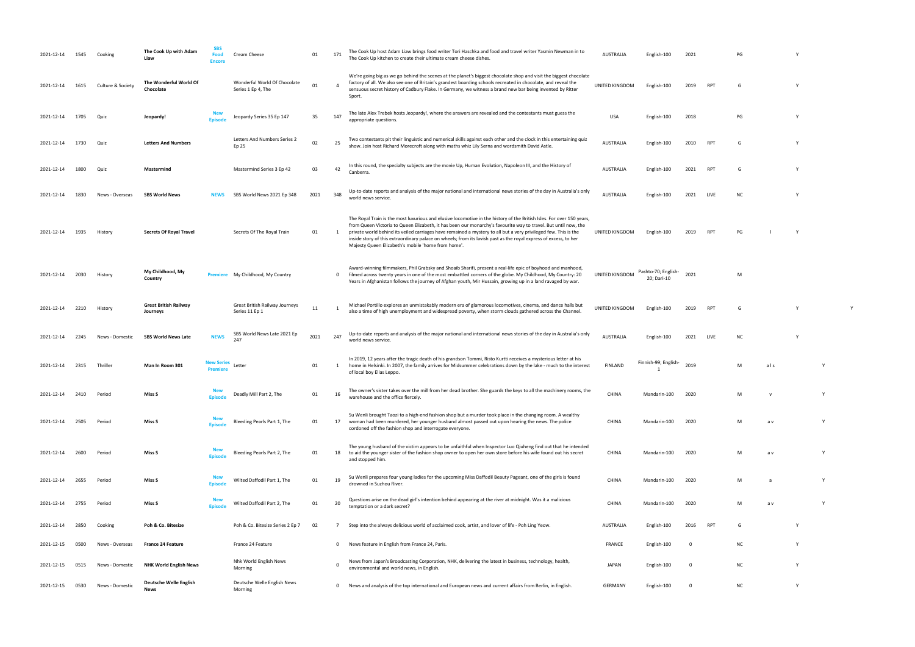| 2021-12-14      | 1545 | Cooking           | The Cook Up with Adam<br>Liaw            | <b>SBS</b><br>Food<br><b>Encore</b> | Cream Cheese                                       | 01   | 171            | The Cook Up host Adam Liaw brings food writer Tori Haschka and food and travel writer Yasmin Newman in to<br>The Cook Up kitchen to create their ultimate cream cheese dishes.                                                                                                                                                                                                                                                                                                                                                       | <b>AUSTRALIA</b> | English-100                        | 2021 |            | PG        |     |              |  |
|-----------------|------|-------------------|------------------------------------------|-------------------------------------|----------------------------------------------------|------|----------------|--------------------------------------------------------------------------------------------------------------------------------------------------------------------------------------------------------------------------------------------------------------------------------------------------------------------------------------------------------------------------------------------------------------------------------------------------------------------------------------------------------------------------------------|------------------|------------------------------------|------|------------|-----------|-----|--------------|--|
| 2021-12-14      | 1615 | Culture & Society | The Wonderful World Of<br>Chocolate      |                                     | Wonderful World Of Chocolate<br>Series 1 Ep 4, The | 01   |                | We're going big as we go behind the scenes at the planet's biggest chocolate shop and visit the biggest chocolate<br>factory of all. We also see one of Britain's grandest boarding schools recreated in chocolate, and reveal the<br>sensuous secret history of Cadbury Flake. In Germany, we witness a brand new bar being invented by Ritter<br>Sport.                                                                                                                                                                            | UNITED KINGDOM   | English-100                        | 2019 | <b>RPT</b> | G         |     |              |  |
| 2021-12-14      | 1705 | Quiz              | Jeopardy!                                | <b>Episode</b>                      | Jeopardy Series 35 Ep 147                          | 35   | 147            | The late Alex Trebek hosts Jeopardy!, where the answers are revealed and the contestants must guess the<br>appropriate questions.                                                                                                                                                                                                                                                                                                                                                                                                    | <b>USA</b>       | English-100                        | 2018 |            | PG        |     | <b>Y</b>     |  |
| 2021-12-14      | 1730 | Quiz              | <b>Letters And Numbers</b>               |                                     | Letters And Numbers Series 2<br>Ep 25              | 02   | 25             | Two contestants pit their linguistic and numerical skills against each other and the clock in this entertaining quiz<br>show. Join host Richard Morecroft along with maths whiz Lily Serna and wordsmith David Astle.                                                                                                                                                                                                                                                                                                                | <b>AUSTRALIA</b> | English-100                        | 2010 | RP1        | G         |     |              |  |
| 2021-12-14      | 1800 | Quiz              | Mastermind                               |                                     | Mastermind Series 3 Ep 42                          | 03   | 42             | In this round, the specialty subjects are the movie Up, Human Evolution, Napoleon III, and the History of<br>Canberra.                                                                                                                                                                                                                                                                                                                                                                                                               | <b>AUSTRALIA</b> | English-100                        | 2021 | <b>RPT</b> | G         |     | <sup>V</sup> |  |
| 2021-12-14      | 1830 | News - Overseas   | <b>SBS World News</b>                    | <b>NEWS</b>                         | SBS World News 2021 Ep 348                         | 2021 | 348            | Up-to-date reports and analysis of the major national and international news stories of the day in Australia's only<br>world news service.                                                                                                                                                                                                                                                                                                                                                                                           | <b>AUSTRALIA</b> | English-100                        | 2021 | LIVE       | <b>NC</b> |     | -Y           |  |
| 2021-12-14      | 1935 | History           | <b>Secrets Of Royal Travel</b>           |                                     | Secrets Of The Royal Train                         | 01   | -1             | The Royal Train is the most luxurious and elusive locomotive in the history of the British Isles. For over 150 years,<br>from Queen Victoria to Queen Elizabeth, it has been our monarchy's favourite way to travel. But until now, the<br>private world behind its veiled carriages have remained a mystery to all but a very privileged few. This is the<br>inside story of this extraordinary palace on wheels; from its lavish past as the royal express of excess, to her<br>Majesty Queen Elizabeth's mobile 'home from home'. | UNITED KINGDOM   | English-100                        | 2019 | <b>RPT</b> | PG        |     | - Y          |  |
| 2021-12-14      | 2030 | History           | My Childhood, My<br>Country              |                                     | Premiere My Childhood, My Country                  |      | $\mathbf 0$    | Award-winning filmmakers, Phil Grabsky and Shoaib Sharifi, present a real-life epic of boyhood and manhood,<br>filmed across twenty years in one of the most embattled corners of the globe. My Childhood, My Country: 20<br>Years in Afghanistan follows the journey of Afghan youth, Mir Hussain, growing up in a land ravaged by war.                                                                                                                                                                                             | UNITED KINGDOM   | Pashto-70; English-<br>20; Dari-10 | 2021 |            | M         |     |              |  |
| 2021-12-14      | 2210 | History           | <b>Great British Railway</b><br>Journeys |                                     | Great British Railway Journeys<br>Series 11 Ep 1   | 11   | $\overline{1}$ | Michael Portillo explores an unmistakably modern era of glamorous locomotives, cinema, and dance halls but<br>also a time of high unemployment and widespread poverty, when storm clouds gathered across the Channel.                                                                                                                                                                                                                                                                                                                | UNITED KINGDOM   | English-100                        | 2019 | <b>RPT</b> | G         |     | <b>Y</b>     |  |
| 2021-12-14      | 2245 | News - Domestic   | <b>SBS World News Late</b>               | <b>NEWS</b>                         | SBS World News Late 2021 Ep<br>247                 | 2021 | 247            | Up-to-date reports and analysis of the major national and international news stories of the day in Australia's only<br>world news service.                                                                                                                                                                                                                                                                                                                                                                                           | <b>AUSTRALIA</b> | English-100                        | 2021 | LIVE       | NC        |     |              |  |
| 2021-12-14      | 2315 | Thriller          | Man In Room 301                          | New Series<br><b>Premiere</b>       | Letter                                             | 01   | 1              | In 2019, 12 years after the tragic death of his grandson Tommi, Risto Kurtti receives a mysterious letter at his<br>home in Helsinki. In 2007, the family arrives for Midsummer celebrations down by the lake - much to the interest<br>of local boy Elias Leppo.                                                                                                                                                                                                                                                                    | <b>FINLAND</b>   | Finnish-99; English-               | 2019 |            | M         | als |              |  |
| 2021-12-14 2410 |      | Period            | Miss S                                   | <b>Episode</b>                      | Deadly Mill Part 2, The                            | 01   | 16             | The owner's sister takes over the mill from her dead brother. She guards the keys to all the machinery rooms, the<br>warehouse and the office fiercely.                                                                                                                                                                                                                                                                                                                                                                              | CHINA            | Mandarin-100                       | 2020 |            | M         |     |              |  |
| 2021-12-14      | 2505 | Period            | Miss S                                   | <b>Episode</b>                      | Bleeding Pearls Part 1, The                        | 01   | 17             | Su Wenli brought Taozi to a high-end fashion shop but a murder took place in the changing room. A wealthy<br>woman had been murdered, her younger husband almost passed out upon hearing the news. The police<br>cordoned off the fashion shop and interrogate everyone.                                                                                                                                                                                                                                                             | <b>CHINA</b>     | Mandarin-100                       | 2020 |            | M         | a v |              |  |
| 2021-12-14      | 2600 | Period            | Miss S                                   | <b>New</b><br>Episode               | Bleeding Pearls Part 2, The                        | 01   | 18             | The young husband of the victim appears to be unfaithful when Inspector Luo Qiuheng find out that he intended<br>to aid the younger sister of the fashion shop owner to open her own store before his wife found out his secret<br>and stopped him.                                                                                                                                                                                                                                                                                  | CHINA            | Mandarin-100                       | 2020 |            | M         | a v |              |  |
| 2021-12-14      | 2655 | Period            | Miss S                                   | <b>New</b><br>Episode               | Wilted Daffodil Part 1, The                        | 01   | 19             | Su Wenli prepares four young ladies for the upcoming Miss Daffodil Beauty Pageant, one of the girls is found<br>drowned in Suzhou River.                                                                                                                                                                                                                                                                                                                                                                                             | CHINA            | Mandarin-100                       | 2020 |            | M         |     |              |  |
| 2021-12-14      | 2755 | Period            | Miss S                                   | <b>New</b><br>Episode               | Wilted Daffodil Part 2, The                        | 01   | 20             | Questions arise on the dead girl's intention behind appearing at the river at midnight. Was it a malicious<br>temptation or a dark secret?                                                                                                                                                                                                                                                                                                                                                                                           | CHINA            | Mandarin-100                       | 2020 |            | M         | a v |              |  |
| 2021-12-14      | 2850 | Cooking           | Poh & Co. Bitesize                       |                                     | Poh & Co. Bitesize Series 2 Ep 7                   | 02   | $\overline{7}$ | Step into the always delicious world of acclaimed cook, artist, and lover of life - Poh Ling Yeow.                                                                                                                                                                                                                                                                                                                                                                                                                                   | AUSTRALIA        | English-100                        | 2016 | RPT        | G         |     | <u>V</u>     |  |
| 2021-12-15      | 0500 | News - Overseas   | <b>France 24 Feature</b>                 |                                     | France 24 Feature                                  |      | $\mathbf 0$    | News feature in English from France 24, Paris.                                                                                                                                                                                                                                                                                                                                                                                                                                                                                       | <b>FRANCE</b>    | English-100                        | 0    |            | <b>NC</b> |     |              |  |
| 2021-12-15      | 0515 | News - Domestic   | <b>NHK World English News</b>            |                                     | Nhk World English News<br>Morning                  |      | $\mathbf{0}$   | News from Japan's Broadcasting Corporation, NHK, delivering the latest in business, technology, health,<br>environmental and world news, in English                                                                                                                                                                                                                                                                                                                                                                                  | <b>JAPAN</b>     | English-100                        | 0    |            | <b>NC</b> |     |              |  |
| 2021-12-15      | 0530 | News - Domestic   | <b>Deutsche Welle English</b><br>News    |                                     | Deutsche Welle English News<br>Morning             |      | $\mathbf 0$    | News and analysis of the top international and European news and current affairs from Berlin, in English.                                                                                                                                                                                                                                                                                                                                                                                                                            | GERMANY          | English-100                        | 0    |            | <b>NC</b> |     |              |  |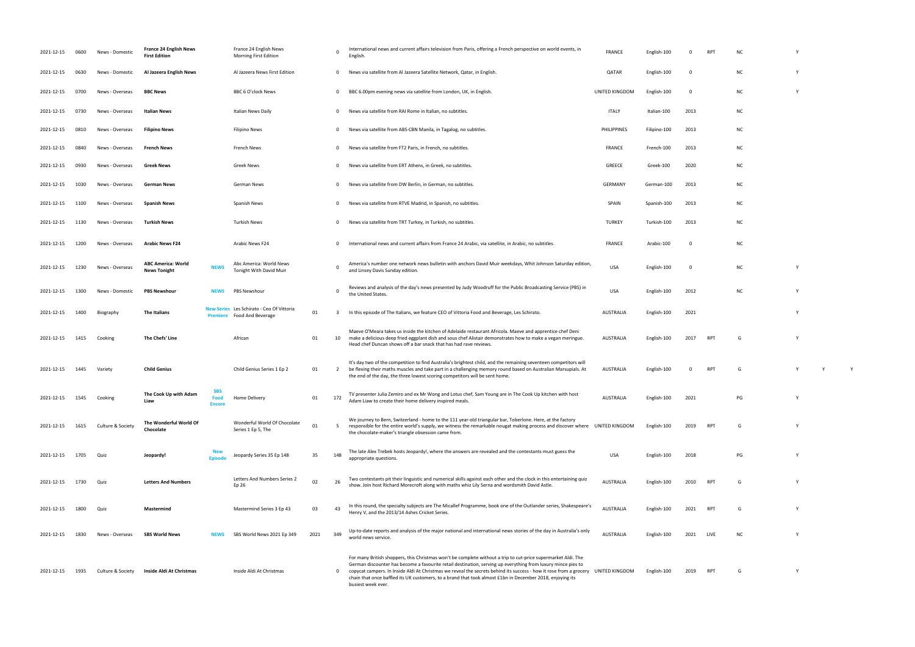| 2021-12-15 | 0600 | News - Domestic   | <b>France 24 English News</b><br><b>First Edition</b> |                                     | France 24 English News<br><b>Morning First Edition</b>         |      | $\Omega$    | International news and current affairs television from Paris, offering a French perspective on world events, in<br>English.                                                                                                                                                                                                                                                                                                                                                            | <b>FRANCE</b>      | English-100  |          | <b>RPT</b> | <b>NC</b> | Y |
|------------|------|-------------------|-------------------------------------------------------|-------------------------------------|----------------------------------------------------------------|------|-------------|----------------------------------------------------------------------------------------------------------------------------------------------------------------------------------------------------------------------------------------------------------------------------------------------------------------------------------------------------------------------------------------------------------------------------------------------------------------------------------------|--------------------|--------------|----------|------------|-----------|---|
| 2021-12-15 | 0630 | News - Domestic   | Al Jazeera English News                               |                                     | Al Jazeera News First Edition                                  |      | $\mathbf 0$ | News via satellite from Al Jazeera Satellite Network, Qatar, in English.                                                                                                                                                                                                                                                                                                                                                                                                               | QATAR              | English-100  | $\Omega$ |            | <b>NC</b> | Y |
| 2021-12-15 | 0700 | News - Overseas   | <b>BBC News</b>                                       |                                     | BBC 6 O'clock News                                             |      | $\mathbf 0$ | BBC 6.00pm evening news via satellite from London, UK, in English.                                                                                                                                                                                                                                                                                                                                                                                                                     | UNITED KINGDOM     | English-100  | - 0      |            | <b>NC</b> | Y |
| 2021-12-15 | 0730 | News - Overseas   | Italian News                                          |                                     | Italian News Daily                                             |      | $\mathbf 0$ | News via satellite from RAI Rome in Italian, no subtitles.                                                                                                                                                                                                                                                                                                                                                                                                                             | <b>ITALY</b>       | Italian-100  | 2013     |            | <b>NC</b> |   |
| 2021-12-15 | 0810 | News - Overseas   | <b>Filipino News</b>                                  |                                     | <b>Filipino News</b>                                           |      | $\mathbf 0$ | News via satellite from ABS-CBN Manila, in Tagalog, no subtitles.                                                                                                                                                                                                                                                                                                                                                                                                                      | <b>PHILIPPINES</b> | Filipino-100 | 2013     |            | <b>NC</b> |   |
| 2021-12-15 | 0840 | News - Overseas   | <b>French News</b>                                    |                                     | French News                                                    |      | $\mathbf 0$ | News via satellite from FT2 Paris, in French, no subtitles.                                                                                                                                                                                                                                                                                                                                                                                                                            | FRANCE             | French-100   | 2013     |            | <b>NC</b> |   |
| 2021-12-15 | 0930 | News - Overseas   | <b>Greek News</b>                                     |                                     | Greek News                                                     |      | $\mathbf 0$ | News via satellite from ERT Athens, in Greek, no subtitles.                                                                                                                                                                                                                                                                                                                                                                                                                            | GREECE             | Greek-100    | 2020     |            | <b>NC</b> |   |
| 2021-12-15 | 1030 | News - Overseas   | German News                                           |                                     | German News                                                    |      | $\mathbf 0$ | News via satellite from DW Berlin, in German, no subtitles.                                                                                                                                                                                                                                                                                                                                                                                                                            | <b>GERMANY</b>     | German-100   | 2013     |            | <b>NC</b> |   |
| 2021-12-15 | 1100 | News - Overseas   | <b>Spanish News</b>                                   |                                     | Spanish News                                                   |      | $\mathbf 0$ | News via satellite from RTVE Madrid, in Spanish, no subtitles.                                                                                                                                                                                                                                                                                                                                                                                                                         | SPAIN              | Spanish-100  | 2013     |            | <b>NC</b> |   |
| 2021-12-15 | 1130 | News - Overseas   | <b>Turkish News</b>                                   |                                     | <b>Turkish News</b>                                            |      | $\mathbf 0$ | News via satellite from TRT Turkey, in Turkish, no subtitles.                                                                                                                                                                                                                                                                                                                                                                                                                          | <b>TURKEY</b>      | Turkish-100  | 2013     |            | <b>NC</b> |   |
| 2021-12-15 | 1200 | News - Overseas   | <b>Arabic News F24</b>                                |                                     | Arabic News F24                                                |      | $\Omega$    | International news and current affairs from France 24 Arabic, via satellite, in Arabic, no subtitles.                                                                                                                                                                                                                                                                                                                                                                                  | FRANCE             | Arabic-100   | 0        |            | <b>NC</b> |   |
| 2021-12-15 | 1230 | News - Overseas   | <b>ABC America: World</b><br><b>News Tonight</b>      | <b>NEWS</b>                         | Abc America: World News<br>Tonight With David Muir             |      | $\Omega$    | America's number one network news bulletin with anchors David Muir weekdays, Whit Johnson Saturday edition,<br>and Linsey Davis Sunday edition.                                                                                                                                                                                                                                                                                                                                        | <b>USA</b>         | English-100  | 0        |            | <b>NC</b> | Y |
| 2021-12-15 | 1300 | News - Domestic   | <b>PBS Newshour</b>                                   | <b>NEWS</b>                         | PBS Newshour                                                   |      | $\Omega$    | Reviews and analysis of the day's news presented by Judy Woodruff for the Public Broadcasting Service (PBS) in<br>the United States.                                                                                                                                                                                                                                                                                                                                                   | <b>USA</b>         | English-100  | 2012     |            | <b>NC</b> | Y |
| 2021-12-15 | 1400 | Biography         | The Italians                                          | <b>Premiere</b>                     | New Series Les Schirato - Ceo Of Vittoria<br>Food And Beverage | 01   | -3          | In this episode of The Italians, we feature CEO of Vittoria Food and Beverage, Les Schirato.                                                                                                                                                                                                                                                                                                                                                                                           | AUSTRALIA          | English-100  | 2021     |            |           | Y |
| 2021-12-15 | 1415 | Cooking           | The Chefs' Line                                       |                                     | African                                                        | 01   | 10          | Maeve O'Meara takes us inside the kitchen of Adelaide restaurant Africola. Maeve and apprentice chef Deni<br>make a delicious deep fried eggplant dish and sous chef Alistair demonstrates how to make a vegan meringue.<br>Head chef Duncan shows off a bar snack that has had rave reviews.                                                                                                                                                                                          | AUSTRALIA          | English-100  | 2017     | <b>RPT</b> | G         |   |
| 2021-12-15 | 1445 | Variety           | <b>Child Genius</b>                                   |                                     | Child Genius Series 1 Ep 2                                     | 01   | 2           | It's day two of the competition to find Australia's brightest child, and the remaining seventeen competitors will<br>be flexing their maths muscles and take part in a challenging memory round based on Australian Marsupials. At<br>the end of the day, the three lowest scoring competitors will be sent home.                                                                                                                                                                      | AUSTRALIA          | English-100  | $\Omega$ | <b>RPT</b> | G         |   |
| 2021-12-15 | 1545 | Cooking           | The Cook Up with Adam<br>Liaw                         | <b>SBS</b><br>Food<br><b>Encore</b> | Home Delivery                                                  | 01   | 172         | TV presenter Julia Zemiro and ex Mr Wong and Lotus chef, Sam Young are in The Cook Up kitchen with host<br>Adam Liaw to create their home delivery inspired meals.                                                                                                                                                                                                                                                                                                                     | <b>AUSTRALIA</b>   | English-100  | 2021     |            | PG        | Y |
| 2021-12-15 | 1615 | Culture & Society | The Wonderful World Of<br>Chocolate                   |                                     | Wonderful World Of Chocolate<br>Series 1 Ep 5, The             | 01   | -5          | We journey to Bern, Switzerland - home to the 111 year-old triangular bar, Toberlone. Here, at the factory<br>responsible for the entire world's supply, we witness the remarkable nougat making process and discover where UNITED KINGDOM<br>the chocolate-maker's triangle obsession came from.                                                                                                                                                                                      |                    | English-100  | 2019     | <b>RPT</b> | G         | Y |
| 2021-12-15 | 1705 | Quiz              | Jeopardy!                                             | <b>Episod</b>                       | Jeopardy Series 35 Ep 148                                      | 35   | 148         | The late Alex Trebek hosts Jeopardy!, where the answers are revealed and the contestants must guess the<br>appropriate questions.                                                                                                                                                                                                                                                                                                                                                      | <b>USA</b>         | English-100  | 2018     |            | PG        | Y |
| 2021-12-15 | 1730 | Quiz              | <b>Letters And Numbers</b>                            |                                     | Letters And Numbers Series 2<br>Ep 26                          | 02   | 26          | Two contestants pit their linguistic and numerical skills against each other and the clock in this entertaining quiz<br>show. Join host Richard Morecroft along with maths whiz Lily Serna and wordsmith David Astle.                                                                                                                                                                                                                                                                  | AUSTRALIA          | English-100  | 2010     | <b>RPT</b> | G         | Y |
| 2021-12-15 | 1800 | Quiz              | Mastermind                                            |                                     | Mastermind Series 3 Ep 43                                      | 03   | 43          | In this round, the specialty subjects are The Micallef Programme, book one of the Outlander series, Shakespeare's<br>Henry V, and the 2013/14 Ashes Cricket Series.                                                                                                                                                                                                                                                                                                                    | AUSTRALIA          | English-100  | 2021     | RPT        | G         | Y |
| 2021-12-15 | 1830 | News - Overseas   | <b>SBS World News</b>                                 | <b>NEWS</b>                         | SBS World News 2021 Ep 349                                     | 2021 | 349         | Up-to-date reports and analysis of the major national and international news stories of the day in Australia's only<br>world news service.                                                                                                                                                                                                                                                                                                                                             | AUSTRALIA          | English-100  | 2021     | LIVE       | ΝC        | Y |
| 2021-12-15 | 1935 | Culture & Society | Inside Aldi At Christmas                              |                                     | Inside Aldi At Christmas                                       |      | 0           | For many British shoppers, this Christmas won't be complete without a trip to cut-price supermarket Aldi. The<br>German discounter has become a favourite retail destination, serving up everything from luxury mince pies to<br>copycat campers. In Inside Aldi At Christmas we reveal the secrets behind its success - how it rose from a grocery<br>chain that once baffled its UK customers, to a brand that took almost £1bn in December 2018, enjoying its<br>busiest week ever. | UNITED KINGDOM     | English-100  | 2019     | <b>RPT</b> | G         | Y |

 $\mathsf{Y}=\mathsf{Y}$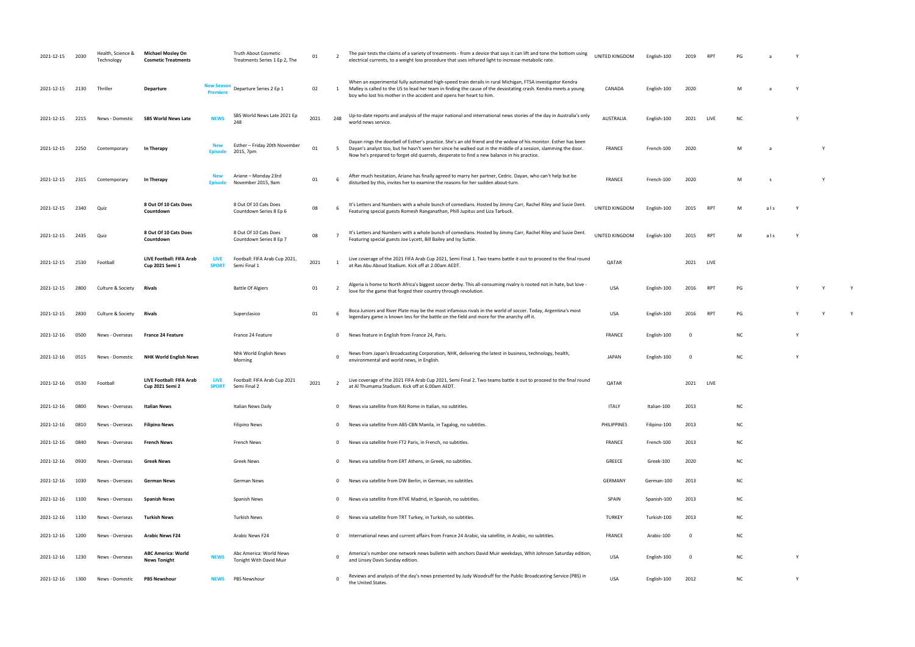| 2021-12-15 | 2030 | Health, Science &<br>Technology | <b>Michael Mosley On</b><br><b>Cosmetic Treatments</b> |                              | Truth About Cosmetic<br>Treatments Series 1 Ep 2, The | 01   | -2             | The pair tests the claims of a variety of treatments - from a device that says it can lift and tone the bottom using<br>electrical currents, to a weight loss procedure that uses infrared light to increase metabolic rate.                                                                                                     | UNITED KINGDOM     | English-100  | 2019 | RP1        | PG        |     |   |              |   |
|------------|------|---------------------------------|--------------------------------------------------------|------------------------------|-------------------------------------------------------|------|----------------|----------------------------------------------------------------------------------------------------------------------------------------------------------------------------------------------------------------------------------------------------------------------------------------------------------------------------------|--------------------|--------------|------|------------|-----------|-----|---|--------------|---|
| 2021-12-15 | 2130 | Thriller                        | Departure                                              | <b>New Seasor</b><br>Premier | Departure Series 2 Ep 1                               | 02   | 1              | When an experimental fully automated high-speed train derails in rural Michigan, FTSA investigator Kendra<br>Malley is called to the US to lead her team in finding the cause of the devastating crash. Kendra meets a young<br>boy who lost his mother in the accident and opens her heart to him.                              | CANADA             | English-100  | 2020 |            | M         |     |   |              |   |
| 2021-12-15 | 2215 | News - Domestic                 | <b>SBS World News Late</b>                             | <b>NEWS</b>                  | SBS World News Late 2021 Ep<br>248                    | 2021 | 248            | Up-to-date reports and analysis of the major national and international news stories of the day in Australia's only<br>world news service.                                                                                                                                                                                       | <b>AUSTRALIA</b>   | English-100  | 2021 | LIVE       | <b>NC</b> |     |   |              |   |
| 2021-12-15 | 2250 | Contemporary                    | In Therapy                                             | <b>New</b><br><b>Episode</b> | Esther - Friday 20th November<br>2015, 7pm            | 01   | 5              | Dayan rings the doorbell of Esther's practice. She's an old friend and the widow of his monitor. Esther has been<br>Dayan's analyst too, but he hasn't seen her since he walked out in the middle of a session, slamming the door.<br>Now he's prepared to forget old quarrels, desperate to find a new balance in his practice. | FRANCE             | French-100   | 2020 |            | M         | -a  |   | Y            |   |
| 2021-12-15 | 2315 | Contemporary                    | In Therapy                                             | Episode                      | Ariane - Monday 23rd<br>November 2015, 9am            | 01   |                | After much hesitation, Ariane has finally agreed to marry her partner, Cedric. Dayan, who can't help but be<br>disturbed by this, invites her to examine the reasons for her sudden about-turn.                                                                                                                                  | <b>FRANCE</b>      | French-100   | 2020 |            | M         | s   |   | <sup>V</sup> |   |
| 2021-12-15 | 2340 | Quiz                            | 8 Out Of 10 Cats Does<br>Countdown                     |                              | 8 Out Of 10 Cats Does<br>Countdown Series 8 Ep 6      | 08   |                | It's Letters and Numbers with a whole bunch of comedians. Hosted by Jimmy Carr, Rachel Riley and Susie Dent.<br>Featuring special guests Romesh Ranganathan, Phill Jupitus and Liza Tarbuck.                                                                                                                                     | UNITED KINGDOM     | English-100  | 2015 | <b>RPT</b> | M         | als |   |              |   |
| 2021-12-15 | 2435 | Quiz                            | 8 Out Of 10 Cats Does<br>Countdown                     |                              | 8 Out Of 10 Cats Does<br>Countdown Series 8 Ep 7      | 08   |                | It's Letters and Numbers with a whole bunch of comedians. Hosted by Jimmy Carr, Rachel Riley and Susie Dent.<br>Featuring special guests Joe Lycett, Bill Bailey and Isy Suttie.                                                                                                                                                 | UNITED KINGDOM     | English-100  | 2015 | <b>RPT</b> |           | als |   |              |   |
| 2021-12-15 | 2530 | Football                        | LIVE Football: FIFA Arab<br>Cup 2021 Semi 1            | LIVE<br><b>SPORT</b>         | Football: FIFA Arab Cup 2021,<br>Semi Final 1         | 2021 |                | Live coverage of the 2021 FIFA Arab Cup 2021, Semi Final 1. Two teams battle it out to proceed to the final round<br>at Ras Abu Aboud Stadium. Kick off at 2.00am AEDT.                                                                                                                                                          | <b>QATAR</b>       |              | 2021 | LIVE       |           |     |   |              |   |
| 2021-12-15 | 2800 | Culture & Society               | Rivals                                                 |                              | <b>Battle Of Algiers</b>                              | 01   | -2             | Algeria is home to North Africa's biggest soccer derby. This all-consuming rivalry is rooted not in hate, but love -<br>love for the game that forged their country through revolution.                                                                                                                                          | <b>USA</b>         | English-100  | 2016 | RPT        | PG        |     |   | Y            | Y |
| 2021-12-15 | 2830 | Culture & Society               | Rivals                                                 |                              | Superclasico                                          | 01   |                | Boca Juniors and River Plate may be the most infamous rivals in the world of soccer. Today, Argentina's most<br>legendary game is known less for the battle on the field and more for the anarchy off it.                                                                                                                        | USA                | English-100  | 2016 | RPT        | PG        |     |   |              | Y |
| 2021-12-16 | 0500 | News - Overseas                 | <b>France 24 Feature</b>                               |                              | France 24 Feature                                     |      | $\mathbf{0}$   | News feature in English from France 24, Paris.                                                                                                                                                                                                                                                                                   | FRANCE             | English-100  | - 0  |            | <b>NC</b> |     |   |              |   |
| 2021-12-16 | 0515 | News - Domestic                 | <b>NHK World English News</b>                          |                              | Nhk World English News<br>Morning                     |      | $\Omega$       | News from Japan's Broadcasting Corporation, NHK, delivering the latest in business, technology, health,<br>environmental and world news, in English.                                                                                                                                                                             | <b>JAPAN</b>       | English-100  | - 0  |            | <b>NC</b> |     |   |              |   |
| 2021-12-16 | 0530 | Football                        | LIVE Football: FIFA Arab<br>Cup 2021 Semi 2            | <b>LIVE</b><br><b>SPORT</b>  | Football: FIFA Arab Cup 2021<br>Semi Final 2          | 2021 | 2              | Live coverage of the 2021 FIFA Arab Cup 2021, Semi Final 2. Two teams battle it out to proceed to the final round<br>at Al Thumama Stadium. Kick off at 6.00am AEDT.                                                                                                                                                             | <b>QATAR</b>       |              | 2021 | LIVE       |           |     |   |              |   |
| 2021-12-16 | 0800 | News - Overseas                 | Italian News                                           |                              | Italian News Daily                                    |      |                | 0 News via satellite from RAI Rome in Italian, no subtitles.                                                                                                                                                                                                                                                                     | <b>ITALY</b>       | Italian-100  | 2013 |            | <b>NC</b> |     |   |              |   |
| 2021-12-16 | 0810 | News - Overseas                 | <b>Filipino News</b>                                   |                              | Filipino News                                         |      |                | 0 News via satellite from ABS-CBN Manila, in Tagalog, no subtitles.                                                                                                                                                                                                                                                              | <b>PHILIPPINES</b> | Filipino-100 | 2013 |            | <b>NC</b> |     |   |              |   |
| 2021-12-16 | 0840 | News - Overseas                 | <b>French News</b>                                     |                              | French News                                           |      | $\mathbf{0}$   | News via satellite from FT2 Paris, in French, no subtitles.                                                                                                                                                                                                                                                                      | FRANCE             | French-100   | 2013 |            | <b>NC</b> |     |   |              |   |
| 2021-12-16 | 0930 | News - Overseas                 | <b>Greek News</b>                                      |                              | Greek News                                            |      | $\mathbf{0}$   | News via satellite from ERT Athens, in Greek, no subtitles.                                                                                                                                                                                                                                                                      | GREECE             | Greek-100    | 2020 |            | <b>NC</b> |     |   |              |   |
| 2021-12-16 | 1030 | News - Overseas                 | <b>German News</b>                                     |                              | German News                                           |      |                | 0 News via satellite from DW Berlin, in German, no subtitles.                                                                                                                                                                                                                                                                    | GERMANY            | German-100   | 2013 |            | <b>NC</b> |     |   |              |   |
| 2021-12-16 | 1100 | News - Overseas                 | <b>Spanish News</b>                                    |                              | Spanish News                                          |      | $\overline{0}$ | News via satellite from RTVE Madrid, in Spanish, no subtitles.                                                                                                                                                                                                                                                                   | SPAIN              | Spanish-100  | 2013 |            | <b>NC</b> |     |   |              |   |
| 2021-12-16 | 1130 | News - Overseas                 | Turkish News                                           |                              | Turkish News                                          |      | $\overline{0}$ | News via satellite from TRT Turkey, in Turkish, no subtitles.                                                                                                                                                                                                                                                                    | <b>TURKEY</b>      | Turkish-100  | 2013 |            | <b>NC</b> |     |   |              |   |
| 2021-12-16 | 1200 | News - Overseas                 | <b>Arabic News F24</b>                                 |                              | Arabic News F24                                       |      | $\mathbf{0}$   | International news and current affairs from France 24 Arabic, via satellite, in Arabic, no subtitles.                                                                                                                                                                                                                            | FRANCE             | Arabic-100   | - 0  |            | <b>NC</b> |     |   |              |   |
| 2021-12-16 | 1230 | News - Overseas                 | <b>ABC America: World</b><br><b>News Tonight</b>       | <b>NEWS</b>                  | Abc America: World News<br>Tonight With David Muir    |      | $\Omega$       | America's number one network news bulletin with anchors David Muir weekdays, Whit Johnson Saturday edition,<br>and Linsey Davis Sunday edition.                                                                                                                                                                                  | USA                | English-100  | - 0  |            | <b>NC</b> |     | Y |              |   |
| 2021-12-16 | 1300 | News - Domestic                 | <b>PBS Newshour</b>                                    | <b>NEWS</b>                  | PBS Newshour                                          |      | $^{\circ}$     | Reviews and analysis of the day's news presented by Judy Woodruff for the Public Broadcasting Service (PBS) in<br>the United States.                                                                                                                                                                                             | USA                | English-100  | 2012 |            | <b>NC</b> |     | Y |              |   |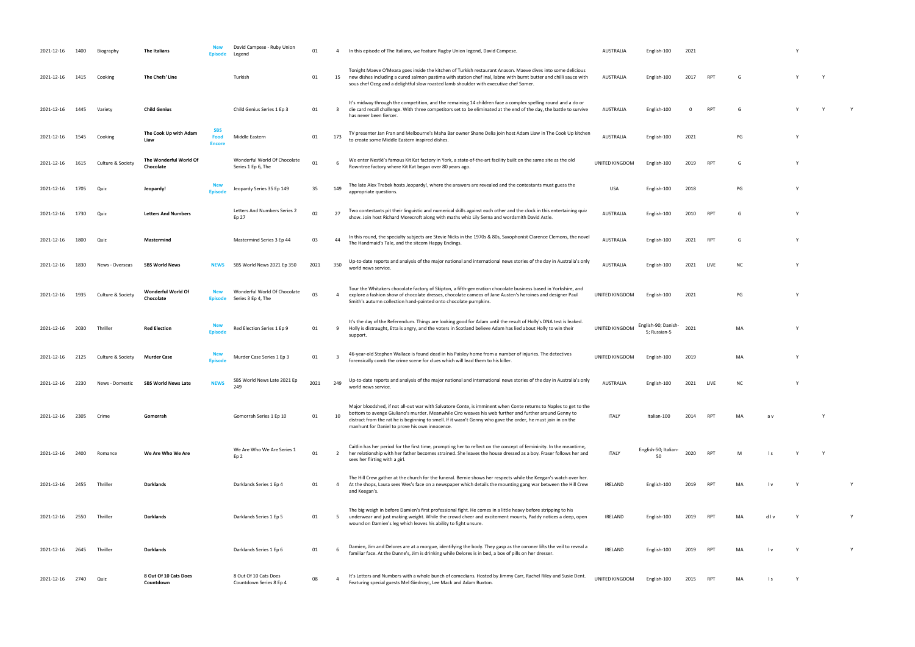| 2021-12-16 | 1400 | Biography         | <b>The Italians</b>                 | Episode                             | David Campese - Ruby Union<br>Legend               | 01   | -4                      | In this episode of The Italians, we feature Rugby Union legend, David Campese.                                                                                                                                                                                                                                                                                                               | <b>AUSTRALIA</b> | English-100                         | 2021 |            |           |              |   |   |   |
|------------|------|-------------------|-------------------------------------|-------------------------------------|----------------------------------------------------|------|-------------------------|----------------------------------------------------------------------------------------------------------------------------------------------------------------------------------------------------------------------------------------------------------------------------------------------------------------------------------------------------------------------------------------------|------------------|-------------------------------------|------|------------|-----------|--------------|---|---|---|
| 2021-12-16 | 1415 | Cooking           | The Chefs' Line                     |                                     | Turkish                                            | 01   | 15                      | Tonight Maeve O'Meara goes inside the kitchen of Turkish restaurant Anason. Maeve dives into some delicious<br>new dishes including a cured salmon pastima with station chef Inal, labne with burnt butter and chilli sauce with<br>sous chef Ozeg and a delightful slow roasted lamb shoulder with executive chef Somer.                                                                    | AUSTRALIA        | English-100                         | 2017 | RPT        | G         |              |   |   |   |
| 2021-12-16 | 1445 | Variety           | <b>Child Genius</b>                 |                                     | Child Genius Series 1 Ep 3                         | 01   | $\overline{\mathbf{3}}$ | It's midway through the competition, and the remaining 14 children face a complex spelling round and a do or<br>die card recall challenge. With three competitors set to be eliminated at the end of the day, the battle to survive<br>has never been fiercer.                                                                                                                               | AUSTRALIA        | English-100                         | 0    | <b>RPT</b> | G         |              | Y | Y | Y |
| 2021-12-16 | 1545 | Cooking           | The Cook Up with Adam<br>Liaw       | <b>SBS</b><br>Food<br><b>Encore</b> | Middle Eastern                                     | 01   | 173                     | TV presenter Jan Fran and Melbourne's Maha Bar owner Shane Delia join host Adam Liaw in The Cook Up kitchen<br>to create some Middle Eastern inspired dishes.                                                                                                                                                                                                                                | <b>AUSTRALIA</b> | English-100                         | 2021 |            | PG        |              | Y |   |   |
| 2021-12-16 | 1615 | Culture & Society | The Wonderful World Of<br>Chocolate |                                     | Wonderful World Of Chocolate<br>Series 1 Ep 6, The | 01   |                         | We enter Nestlé's famous Kit Kat factory in York, a state-of-the-art facility built on the same site as the old<br>Rowntree factory where Kit Kat began over 80 years ago.                                                                                                                                                                                                                   | UNITED KINGDOM   | English-100                         | 2019 | RPT        | G         |              |   |   |   |
| 2021-12-16 | 1705 | Quiz              | Jeopardy!                           | <b>Episode</b>                      | Jeopardy Series 35 Ep 149                          | 35   | 149                     | The late Alex Trebek hosts Jeopardy!, where the answers are revealed and the contestants must guess the<br>appropriate questions.                                                                                                                                                                                                                                                            | <b>USA</b>       | English-100                         | 2018 |            | PG        |              |   |   |   |
| 2021-12-16 | 1730 | Quiz              | <b>Letters And Numbers</b>          |                                     | Letters And Numbers Series 2<br>Ep 27              | 02   | 27                      | Two contestants pit their linguistic and numerical skills against each other and the clock in this entertaining quiz<br>show. Join host Richard Morecroft along with maths whiz Lily Serna and wordsmith David Astle.                                                                                                                                                                        | <b>AUSTRALIA</b> | English-100                         | 2010 | RPT        | G         |              |   |   |   |
| 2021-12-16 | 1800 | Quiz              | Mastermind                          |                                     | Mastermind Series 3 Ep 44                          | 03   | 44                      | In this round, the specialty subjects are Stevie Nicks in the 1970s & 80s, Saxophonist Clarence Clemons, the novel<br>The Handmaid's Tale, and the sitcom Happy Endings.                                                                                                                                                                                                                     | <b>AUSTRALIA</b> | English-100                         | 2021 | <b>RPT</b> | G         |              | Y |   |   |
| 2021-12-16 | 1830 | News - Overseas   | <b>SBS World News</b>               | NEWS                                | SBS World News 2021 Ep 350                         | 2021 | 350                     | Up-to-date reports and analysis of the major national and international news stories of the day in Australia's only<br>world news service.                                                                                                                                                                                                                                                   | <b>AUSTRALIA</b> | English-100                         | 2021 | LIVE       | <b>NC</b> |              |   |   |   |
| 2021-12-16 | 1935 | Culture & Society | Wonderful World Of<br>Chocolate     | <b>New</b><br><b>Episode</b>        | Wonderful World Of Chocolate<br>Series 3 Ep 4, The | 03   | $\overline{4}$          | Tour the Whitakers chocolate factory of Skipton, a fifth-generation chocolate business based in Yorkshire, and<br>explore a fashion show of chocolate dresses, chocolate cameos of Jane Austen's heroines and designer Paul<br>Smith's autumn collection hand-painted onto chocolate pumpkins.                                                                                               | UNITED KINGDOM   | English-100                         | 2021 |            | PG        |              | Y |   |   |
| 2021-12-16 | 2030 | Thriller          | <b>Red Election</b>                 | <b>New</b><br><b>Episode</b>        | Red Election Series 1 Ep 9                         | 01   | -9                      | It's the day of the Referendum. Things are looking good for Adam until the result of Holly's DNA test is leaked.<br>Holly is distraught, Etta is angry, and the voters in Scotland believe Adam has lied about Holly to win their<br>support.                                                                                                                                                | UNITED KINGDOM   | English-90; Danish-<br>5; Russian-5 | 2021 |            | MA        |              | Y |   |   |
| 2021-12-16 | 2125 | Culture & Society | <b>Murder Case</b>                  | <b>New</b><br><b>Episode</b>        | Murder Case Series 1 Ep 3                          | 01   | - 3                     | 46-year-old Stephen Wallace is found dead in his Paisley home from a number of injuries. The detectives<br>forensically comb the crime scene for clues which will lead them to his killer.                                                                                                                                                                                                   | UNITED KINGDOM   | English-100                         | 2019 |            | MA        |              | Y |   |   |
| 2021-12-16 | 2230 | News - Domestic   | <b>SBS World News Late</b>          | <b>NEWS</b>                         | SBS World News Late 2021 Ep<br>249                 | 2021 | 249                     | Up-to-date reports and analysis of the major national and international news stories of the day in Australia's only<br>world news service.                                                                                                                                                                                                                                                   | AUSTRALIA        | English-100                         | 2021 | LIVE       | ΝC        |              | Y |   |   |
| 2021-12-16 | 2305 | Crime             | Gomorrah                            |                                     | Gomorrah Series 1 Ep 10                            | 01   | 10                      | Major bloodshed, if not all-out war with Salvatore Conte, is imminent when Conte returns to Naples to get to the<br>bottom to avenge Giuliano's murder. Meanwhile Ciro weaves his web further and further around Genny to<br>distract from the rat he is beginning to smell. If it wasn't Genny who gave the order, he must join in on the<br>manhunt for Daniel to prove his own innocence. | <b>ITALY</b>     | Italian-100                         | 2014 | RPT        | MA        | a v          |   |   |   |
| 2021-12-16 | 2400 | Romance           | We Are Who We Are                   |                                     | We Are Who We Are Series 1<br>Ep 2                 | 01   | 2                       | Caitlin has her period for the first time, prompting her to reflect on the concept of femininity. In the meantime,<br>her relationship with her father becomes strained. She leaves the house dressed as a boy. Fraser follows her and<br>sees her flirting with a girl.                                                                                                                     | <b>ITALY</b>     | English-50; Italian-<br>50          | 2020 | <b>RPT</b> | м         | l s          |   |   |   |
| 2021-12-16 | 2455 | Thriller          | Darklands                           |                                     | Darklands Series 1 Ep 4                            | 01   | $\overline{a}$          | The Hill Crew gather at the church for the funeral. Bernie shows her respects while the Keegan's watch over her.<br>At the shops, Laura sees Wes's face on a newspaper which details the mounting gang war between the Hill Crew<br>and Keegan's.                                                                                                                                            | <b>IRELAND</b>   | English-100                         | 2019 | <b>RPT</b> | MA        | l v          | Y |   |   |
| 2021-12-16 | 2550 | Thriller          | Darklands                           |                                     | Darklands Series 1 Ep 5                            | 01   | - 5                     | The big weigh in before Damien's first professional fight. He comes in a little heavy before stripping to his<br>underwear and just making weight. While the crowd cheer and excitement mounts, Paddy notices a deep, open<br>wound on Damien's leg which leaves his ability to fight unsure.                                                                                                | <b>IRELAND</b>   | English-100                         | 2019 | <b>RPT</b> |           | dlv          |   |   |   |
| 2021-12-16 | 2645 | Thriller          | <b>Darklands</b>                    |                                     | Darklands Series 1 Ep 6                            | 01   |                         | Damien, Jim and Delores are at a morgue, identifying the body. They gasp as the coroner lifts the veil to reveal a<br>familiar face. At the Dunne's, Jim is drinking while Delores is in bed, a box of pills on her dresser.                                                                                                                                                                 | <b>IRELAND</b>   | English-100                         | 2019 | <b>RPT</b> | MA        | l v          | Y |   |   |
| 2021-12-16 | 2740 | Quiz              | 8 Out Of 10 Cats Does<br>Countdown  |                                     | 8 Out Of 10 Cats Does<br>Countdown Series 8 Ep 4   | 08   |                         | It's Letters and Numbers with a whole bunch of comedians. Hosted by Jimmy Carr, Rachel Riley and Susie Dent.<br>Featuring special guests Mel Giedroyc, Lee Mack and Adam Buxton.                                                                                                                                                                                                             | UNITED KINGDOM   | English-100                         | 2015 | RPT        | MA        | $\mathsf{I}$ | Y |   |   |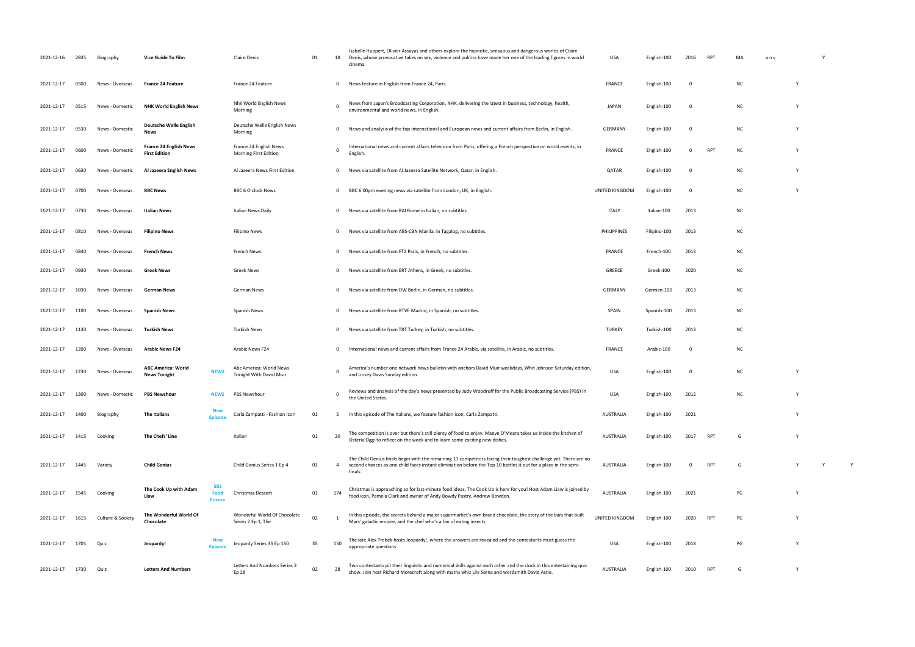| 2021-12-16 | 2835 | Biography         | Vice Guide To Film                                                   | Claire Denis                                       | 01 | 18             | Isabelle Huppert, Olivier Assayas and others explore the hypnotic, sensuous and dangerous worlds of Claire<br>Denis, whose provocative takes on sex, violence and politics have made her one of the leading figures in world<br>cinema.         | USA                | English-100  | 2016        | <b>RPT</b>      | MA        | anv |          |  |
|------------|------|-------------------|----------------------------------------------------------------------|----------------------------------------------------|----|----------------|-------------------------------------------------------------------------------------------------------------------------------------------------------------------------------------------------------------------------------------------------|--------------------|--------------|-------------|-----------------|-----------|-----|----------|--|
| 2021-12-17 | 0500 | News - Overseas   | <b>France 24 Feature</b>                                             | France 24 Feature                                  |    | $\mathbf{0}$   | News feature in English from France 24, Paris.                                                                                                                                                                                                  | FRANCE             | English-100  | 0           |                 | <b>NC</b> |     |          |  |
| 2021-12-17 | 0515 | News - Domestic   | <b>NHK World English News</b>                                        | Nhk World English News<br>Morning                  |    |                | News from Japan's Broadcasting Corporation, NHK, delivering the latest in business, technology, health,<br>environmental and world news, in English.                                                                                            | <b>JAPAN</b>       | English-100  | 0           |                 | <b>NC</b> |     |          |  |
| 2021-12-17 | 0530 | News - Domestic   | <b>Deutsche Welle English</b><br><b>News</b>                         | Deutsche Welle English News<br>Morning             |    | $\mathbf 0$    | News and analysis of the top international and European news and current affairs from Berlin, in English.                                                                                                                                       | GERMANY            | English-100  | 0           |                 | <b>NC</b> |     | <b>V</b> |  |
| 2021-12-17 | 0600 | News - Domestic   | <b>France 24 English News</b><br><b>First Edition</b>                | France 24 English News<br>Morning First Edition    |    |                | International news and current affairs television from Paris, offering a French perspective on world events, in<br>English.                                                                                                                     | <b>FRANCE</b>      | English-100  | 0           | <b>RPT</b>      | <b>NC</b> |     |          |  |
| 2021-12-17 | 0630 | News - Domestic   | Al Jazeera English News                                              | Al Jazeera News First Edition                      |    | $\mathbf{0}$   | News via satellite from Al Jazeera Satellite Network, Qatar, in English.                                                                                                                                                                        | QATAR              | English-100  | $^{\circ}$  |                 | <b>NC</b> |     |          |  |
| 2021-12-17 | 0700 | News - Overseas   | <b>BBC News</b>                                                      | BBC 6 O'clock News                                 |    | 0              | BBC 6.00pm evening news via satellite from London, UK, in English.                                                                                                                                                                              | UNITED KINGDOM     | English-100  | 0           |                 | <b>NC</b> |     |          |  |
| 2021-12-17 | 0730 | News - Overseas   | <b>Italian News</b>                                                  | Italian News Daily                                 |    | $\mathbf{0}$   | News via satellite from RAI Rome in Italian, no subtitles.                                                                                                                                                                                      | <b>ITALY</b>       | Italian-100  | 2013        |                 | <b>NC</b> |     |          |  |
| 2021-12-17 | 0810 | News - Overseas   | <b>Filipino News</b>                                                 | <b>Filipino News</b>                               |    | $^{\circ}$     | News via satellite from ABS-CBN Manila, in Tagalog, no subtitles.                                                                                                                                                                               | <b>PHILIPPINES</b> | Filipino-100 | 2013        |                 | <b>NC</b> |     |          |  |
| 2021-12-17 | 0840 | News - Overseas   | French News                                                          | French News                                        |    | $^{\circ}$     | News via satellite from FT2 Paris, in French, no subtitles.                                                                                                                                                                                     | FRANCE             | French-100   | 2013        |                 | <b>NC</b> |     |          |  |
| 2021-12-17 | 0930 | News - Overseas   | <b>Greek News</b>                                                    | <b>Greek News</b>                                  |    | $\mathbf{0}$   | News via satellite from ERT Athens, in Greek, no subtitles.                                                                                                                                                                                     | GREECE             | Greek-100    | 2020        |                 | <b>NC</b> |     |          |  |
| 2021-12-17 | 1030 | News - Overseas   | German News                                                          | German News                                        |    | $^{\circ}$     | News via satellite from DW Berlin, in German, no subtitles.                                                                                                                                                                                     | GERMANY            | German-100   | 2013        |                 | <b>NC</b> |     |          |  |
| 2021-12-17 | 1100 | News - Overseas   | <b>Spanish News</b>                                                  | Spanish News                                       |    | $\mathbf{0}$   | News via satellite from RTVE Madrid, in Spanish, no subtitles.                                                                                                                                                                                  | SPAIN              | Spanish-100  | 2013        |                 | <b>NC</b> |     |          |  |
| 2021-12-17 | 1130 | News - Overseas   | Turkish News                                                         | <b>Turkish News</b>                                |    | $\mathbf{0}$   | News via satellite from TRT Turkey, in Turkish, no subtitles.                                                                                                                                                                                   | <b>TURKEY</b>      | Turkish-100  | 2013        |                 | <b>NC</b> |     |          |  |
| 2021-12-17 | 1200 | News - Overseas   | <b>Arabic News F24</b>                                               | Arabic News F24                                    |    | $\mathbf{0}$   | International news and current affairs from France 24 Arabic, via satellite, in Arabic, no subtitles.                                                                                                                                           | FRANCE             | Arabic-100   | $\mathbf 0$ |                 | <b>NC</b> |     |          |  |
| 2021-12-17 | 1230 | News - Overseas   | <b>ABC America: World</b><br><b>NEWS</b><br><b>News Tonight</b>      | Abc America: World News<br>Tonight With David Muir |    |                | America's number one network news bulletin with anchors David Muir weekdays, Whit Johnson Saturday edition,<br>and Linsey Davis Sunday edition.                                                                                                 | <b>USA</b>         | English-100  | 0           |                 | <b>NC</b> |     | <b>V</b> |  |
| 2021-12-17 | 1300 | News - Domestic   | <b>PBS Newshour</b>                                                  | PBS Newshour<br>NEWS                               |    | 0              | Reviews and analysis of the day's news presented by Judy Woodruff for the Public Broadcasting Service (PBS) in<br>the United States.                                                                                                            | <b>USA</b>         | English-100  | 2012        |                 |           |     |          |  |
| 2021-12-17 | 1400 | Biography         | The Italians<br><b>Enisode</b>                                       | Carla Zampatti - Fashion Icon                      | 01 |                | In this episode of The Italians, we feature fashion icon, Carla Zampatti.                                                                                                                                                                       | AUSTRALIA          | English-100  | 2021        |                 |           |     | <b>V</b> |  |
| 2021-12-17 | 1415 | Cooking           | The Chefs' Line                                                      | Italian                                            | 01 | 20             | The competition is over but there's still plenty of food to enjoy. Maeve O'Meara takes us inside the kitchen of<br>Osteria Oggi to reflect on the week and to learn some exciting new dishes.                                                   | AUSTRALIA          | English-100  | 2017        | <b>RPT</b>      | G         |     |          |  |
| 2021-12-17 | 1445 | Variety           | <b>Child Genius</b>                                                  | Child Genius Series 1 Ep 4                         | 01 | $\overline{4}$ | The Child Genius finals begin with the remaining 11 competitors facing their toughest challenge yet. There are no<br>second chances as one child faces instant elimination before the Top 10 battles it out for a place in the semi-<br>finals. | AUSTRALIA          | English-100  |             | RP <sub>1</sub> | G         |     |          |  |
| 2021-12-17 | 1545 | Cooking           | <b>SBS</b><br>The Cook Up with Adam<br>Food<br>Liaw<br><b>Encore</b> | Christmas Dessert                                  | 01 | 174            | Christmas is approaching so for last-minute food ideas, The Cook Up is here for you! Host Adam Liaw is joined by<br>food icon, Pamela Clark and owner of Andy Bowdy Pastry, Andrew Bowden.                                                      | AUSTRALIA          | English-100  | 2021        |                 | PG        |     | <b>V</b> |  |
| 2021-12-17 | 1615 | Culture & Society | The Wonderful World Of<br>Chocolate                                  | Wonderful World Of Chocolate<br>Series 2 Ep 1, The | 02 |                | In this episode, the secrets behind a major supermarket's own brand chocolate, the story of the bars that built<br>Mars' galactic empire, and the chef who's a fan of eating insects.                                                           | UNITED KINGDOM     | English-100  | 2020        | <b>RPT</b>      | PG        |     | Y        |  |
| 2021-12-17 | 1705 | Quiz              | Jeopardy!<br><b>Enisod</b>                                           | Jeopardy Series 35 Ep 150                          | 35 | 150            | The late Alex Trebek hosts Jeopardy!, where the answers are revealed and the contestants must guess the<br>appropriate questions.                                                                                                               | <b>USA</b>         | English-100  | 2018        |                 | PG        |     | <b>V</b> |  |
| 2021-12-17 | 1730 | Quiz              | <b>Letters And Numbers</b>                                           | Letters And Numbers Series 2<br>Ep 28              | 02 | 28             | Two contestants pit their linguistic and numerical skills against each other and the clock in this entertaining quiz<br>show. Join host Richard Morecroft along with maths whiz Lily Serna and wordsmith David Astle.                           | AUSTRALIA          | English-100  | 2010        | <b>RPT</b>      | G         |     | <b>V</b> |  |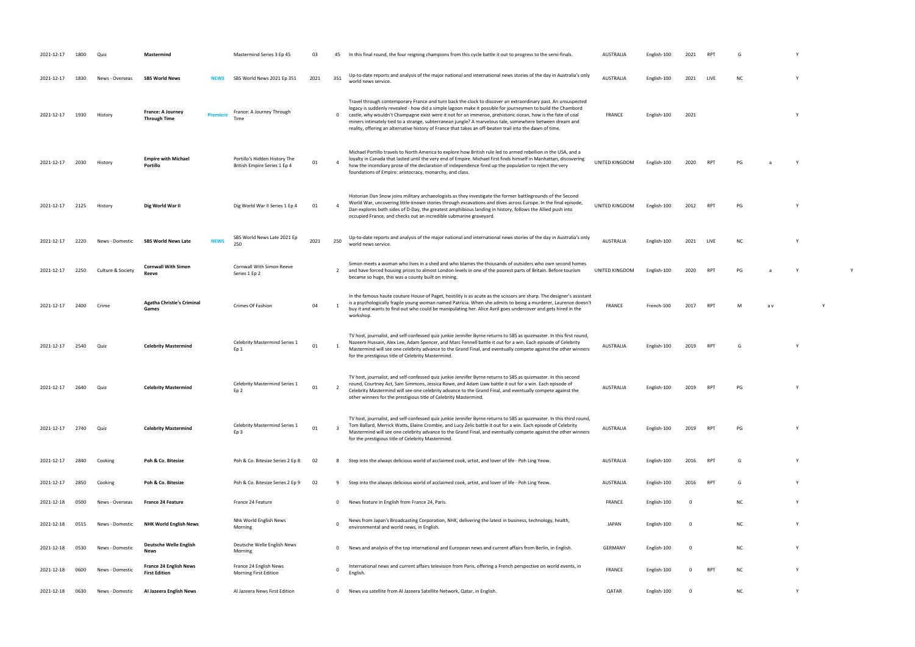| 2021-12-17 | 1800 | Oui:              | Mastermind                                            | Mastermind Series 3 Ep 45                                     | 03   | 45           | In this final round, the four reigning champions from this cycle battle it out to progress to the semi-finals.                                                                                                                                                                                                                                                                                                                                                                                                                                                    | <b>AUSTRALIA</b> | English-100 | 2021        |            |           |     |          |  |
|------------|------|-------------------|-------------------------------------------------------|---------------------------------------------------------------|------|--------------|-------------------------------------------------------------------------------------------------------------------------------------------------------------------------------------------------------------------------------------------------------------------------------------------------------------------------------------------------------------------------------------------------------------------------------------------------------------------------------------------------------------------------------------------------------------------|------------------|-------------|-------------|------------|-----------|-----|----------|--|
| 2021-12-17 | 1830 | News - Overseas   | <b>SBS World News</b>                                 | SBS World News 2021 Ep 351<br>NEWS                            | 2021 | 351          | Up-to-date reports and analysis of the major national and international news stories of the day in Australia's only<br>world news service.                                                                                                                                                                                                                                                                                                                                                                                                                        | <b>AUSTRALIA</b> | English-100 | 2021        | LIVE       | <b>NC</b> |     | Y        |  |
| 2021-12-17 | 1930 | History           | France: A Journey<br>Premiere<br><b>Through Time</b>  | France: A Journey Through<br>Time                             |      | 0            | Travel through contemporary France and turn back the clock to discover an extraordinary past. An unsuspected<br>legacy is suddenly revealed - how did a simple lagoon make it possible for journeymen to build the Chambord<br>castle, why wouldn't Champagne exist were it not for an immense, prehistoric ocean, how is the fate of coal<br>miners intimately tied to a strange, subterranean jungle? A marvelous tale, somewhere between dream and<br>reality, offering an alternative history of France that takes an off-beaten trail into the dawn of time. | <b>FRANCE</b>    | English-100 | 2021        |            |           |     | Y        |  |
| 2021-12-17 | 2030 | History           | <b>Empire with Michael</b><br>Portillo                | Portillo's Hidden History The<br>British Empire Series 1 Ep 4 | 01   |              | Michael Portillo travels to North America to explore how British rule led to armed rebellion in the USA, and a<br>loyalty in Canada that lasted until the very end of Empire. Michael first finds himself in Manhattan, discovering<br>how the incendiary prose of the declaration of independence fired up the population to reject the very<br>foundations of Empire: aristocracy, monarchy, and class.                                                                                                                                                         | UNITED KINGDOM   | English-100 | 2020        | <b>RPT</b> | PG        |     |          |  |
| 2021-12-17 | 2125 | History           | Dig World War II                                      | Dig World War II Series 1 Ep 4                                | 01   |              | Historian Dan Snow joins military archaeologists as they investigate the former battlegrounds of the Second<br>World War, uncovering little-known stories through excavations and dives across Europe. In the final episode,<br>Dan explores both sides of D-Day, the greatest amphibious landing in history, follows the Allied push into<br>occupied France, and checks out an incredible submarine graveyard.                                                                                                                                                  | UNITED KINGDOM   | English-100 | 2012        | <b>RPT</b> | PG        |     | <b>Y</b> |  |
| 2021-12-17 | 2220 | News - Domestic   | <b>SBS World News Late</b>                            | SBS World News Late 2021 Ep<br><b>NEWS</b><br>250             | 2021 | 250          | Up-to-date reports and analysis of the major national and international news stories of the day in Australia's only<br>world news service.                                                                                                                                                                                                                                                                                                                                                                                                                        | <b>AUSTRALIA</b> | English-100 | 2021        | LIVE       | <b>NC</b> |     |          |  |
| 2021-12-17 | 2250 | Culture & Society | <b>Cornwall With Simon</b><br>Reeve                   | Cornwall With Simon Reeve<br>Series 1 Ep 2                    |      | 2            | Simon meets a woman who lives in a shed and who blames the thousands of outsiders who own second homes<br>and have forced housing prices to almost London levels in one of the poorest parts of Britain. Before tourism<br>became so huge, this was a county built on mining.                                                                                                                                                                                                                                                                                     | UNITED KINGDOM   | English-100 | 2020        | <b>RPT</b> | PG        |     |          |  |
| 2021-12-17 | 2400 | Crime             | <b>Agatha Christie's Criminal</b><br>Games            | Crimes Of Fashion                                             | 04   |              | In the famous haute couture House of Paget, hostility is as acute as the scissors are sharp. The designer's assistant<br>is a psychologically fragile young woman named Patricia. When she admits to being a murderer, Laurence doesn't<br>buy it and wants to find out who could be manipulating her. Alice Avril goes undercover and gets hired in the<br>workshop.                                                                                                                                                                                             | <b>FRANCE</b>    | French-100  | 2017        | <b>RPT</b> | M         | a v |          |  |
| 2021-12-17 | 2540 | Quiz              | <b>Celebrity Mastermind</b>                           | Celebrity Mastermind Series 1<br>Ep 1                         | 01   |              | TV host, journalist, and self-confessed quiz junkie Jennifer Byrne returns to SBS as quizmaster. In this first round,<br>Nazeem Hussain, Alex Lee, Adam Spencer, and Marc Fennell battle it out for a win. Each episode of Celebrity<br>Mastermind will see one celebrity advance to the Grand Final, and eventually compete against the other winners<br>for the prestigious title of Celebrity Mastermind.                                                                                                                                                      | AUSTRALIA        | English-100 | 2019        | <b>RPT</b> | G         |     | Y        |  |
| 2021-12-17 | 2640 |                   | <b>Celebrity Mastermind</b>                           | Celebrity Mastermind Series 1<br>Ep 2                         | 01   |              | TV host, journalist, and self-confessed quiz junkie Jennifer Byrne returns to SBS as quizmaster. In this second<br>round, Courtney Act, Sam Simmons, Jessica Rowe, and Adam Liaw battle it out for a win. Each episode of<br>Celebrity Mastermind will see one celebrity advance to the Grand Final, and eventually compete against the<br>other winners for the prestigious title of Celebrity Mastermind.                                                                                                                                                       | <b>AUSTRALIA</b> | English-100 | 2019        | <b>RPT</b> | PG        |     | Y        |  |
| 2021-12-17 | 2740 | Quiz              | <b>Celebrity Mastermind</b>                           | Celebrity Mastermind Series 1<br>Ep 3                         | 01   |              | TV host, journalist, and self-confessed quiz junkie Jennifer Byrne returns to SBS as quizmaster. In this third round,<br>Tom Ballard, Merrick Watts, Elaine Crombie, and Lucy Zelic battle it out for a win. Each episode of Celebrity<br>Mastermind will see one celebrity advance to the Grand Final, and eventually compete against the other winners<br>for the prestigious title of Celebrity Mastermind.                                                                                                                                                    | <b>AUSTRALIA</b> | English-100 | 2019        | <b>RPT</b> | PG        |     | Y        |  |
| 2021-12-17 | 2840 | Cooking           | Poh & Co. Bitesize                                    | Poh & Co. Bitesize Series 2 Ep 8                              | 02   | 8            | Step into the always delicious world of acclaimed cook, artist, and lover of life - Poh Ling Yeow.                                                                                                                                                                                                                                                                                                                                                                                                                                                                | <b>AUSTRALIA</b> | English-100 | 2016        | <b>RPT</b> | G         |     | Y        |  |
| 2021-12-17 | 2850 | Cooking           | Poh & Co. Bitesize                                    | Poh & Co. Bitesize Series 2 Ep 9                              | 02   | 9            | Step into the always delicious world of acclaimed cook, artist, and lover of life - Poh Ling Yeow.                                                                                                                                                                                                                                                                                                                                                                                                                                                                | <b>AUSTRALIA</b> | English-100 | 2016        | <b>RPT</b> | G         |     | Y        |  |
| 2021-12-18 | 0500 | News - Overseas   | France 24 Feature                                     | France 24 Feature                                             |      | 0            | News feature in English from France 24, Paris.                                                                                                                                                                                                                                                                                                                                                                                                                                                                                                                    | <b>FRANCE</b>    | English-100 | $\mathbf 0$ |            | <b>NC</b> |     | Y        |  |
| 2021-12-18 | 0515 | News - Domestic   | <b>NHK World English News</b>                         | Nhk World English News<br>Morning                             |      | 0            | News from Japan's Broadcasting Corporation, NHK, delivering the latest in business, technology, health,<br>environmental and world news, in English.                                                                                                                                                                                                                                                                                                                                                                                                              | <b>JAPAN</b>     | English-100 | $\mathbf 0$ |            | <b>NC</b> |     | Y        |  |
| 2021-12-18 | 0530 | News - Domestic   | Deutsche Welle English<br>News                        | Deutsche Welle English News<br>Morning                        |      | 0            | News and analysis of the top international and European news and current affairs from Berlin, in English.                                                                                                                                                                                                                                                                                                                                                                                                                                                         | <b>GERMANY</b>   | English-100 | $\mathbf 0$ |            | <b>NC</b> |     | Y        |  |
| 2021-12-18 | 0600 | News - Domestic   | <b>France 24 English News</b><br><b>First Edition</b> | France 24 English News<br>Morning First Edition               |      | 0            | International news and current affairs television from Paris, offering a French perspective on world events, in<br>English                                                                                                                                                                                                                                                                                                                                                                                                                                        | <b>FRANCE</b>    | English-100 | $\mathbf 0$ | <b>RPT</b> | <b>NC</b> |     | Y        |  |
| 2021-12-18 | 0630 | News - Domestic   | Al Jazeera English News                               | Al Jazeera News First Edition                                 |      | $\mathbf{0}$ | News via satellite from Al Jazeera Satellite Network, Qatar, in English.                                                                                                                                                                                                                                                                                                                                                                                                                                                                                          | QATAR            | English-100 | $\mathbf 0$ |            | <b>NC</b> |     | Y        |  |